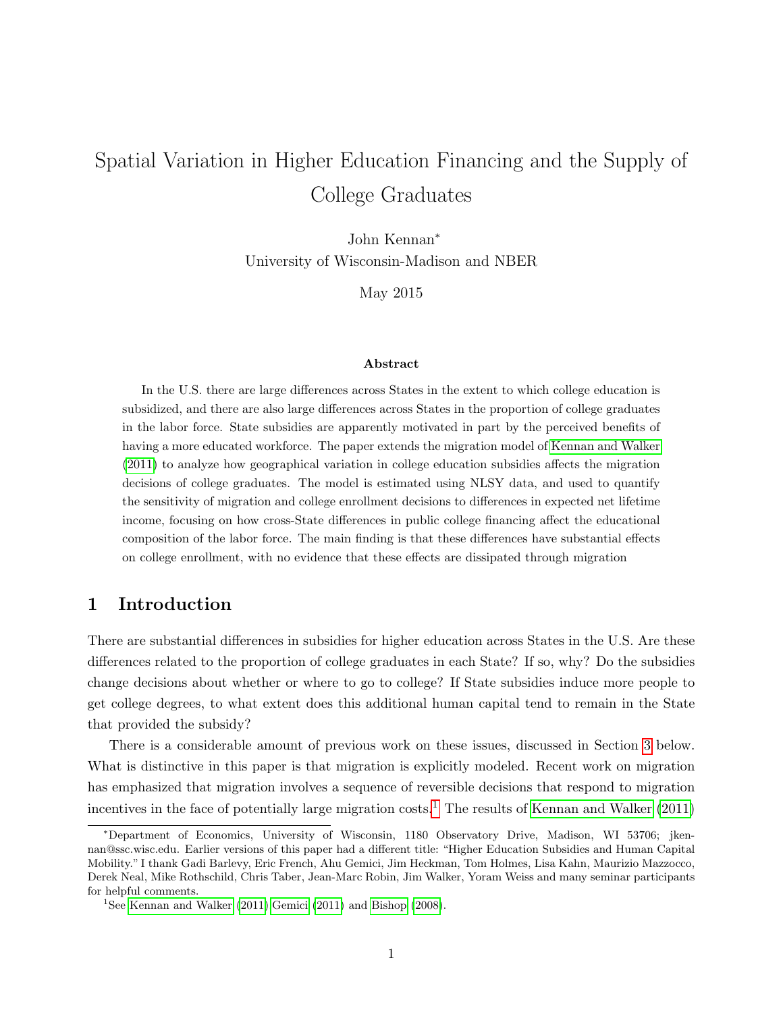# Spatial Variation in Higher Education Financing and the Supply of College Graduates

John Kennan<sup>∗</sup> University of Wisconsin-Madison and NBER

May 2015

#### Abstract

In the U.S. there are large differences across States in the extent to which college education is subsidized, and there are also large differences across States in the proportion of college graduates in the labor force. State subsidies are apparently motivated in part by the perceived benefits of having a more educated workforce. The paper extends the migration model of [Kennan and Walker](#page-27-0) [\(2011\)](#page-27-0) to analyze how geographical variation in college education subsidies affects the migration decisions of college graduates. The model is estimated using NLSY data, and used to quantify the sensitivity of migration and college enrollment decisions to differences in expected net lifetime income, focusing on how cross-State differences in public college financing affect the educational composition of the labor force. The main finding is that these differences have substantial effects on college enrollment, with no evidence that these effects are dissipated through migration

# 1 Introduction

There are substantial differences in subsidies for higher education across States in the U.S. Are these differences related to the proportion of college graduates in each State? If so, why? Do the subsidies change decisions about whether or where to go to college? If State subsidies induce more people to get college degrees, to what extent does this additional human capital tend to remain in the State that provided the subsidy?

There is a considerable amount of previous work on these issues, discussed in Section [3](#page-5-0) below. What is distinctive in this paper is that migration is explicitly modeled. Recent work on migration has emphasized that migration involves a sequence of reversible decisions that respond to migration incentives in the face of potentially large migration costs.<sup>[1](#page-0-0)</sup> The results of [Kennan and Walker](#page-27-0)  $(2011)$ 

<sup>∗</sup>Department of Economics, University of Wisconsin, 1180 Observatory Drive, Madison, WI 53706; jkennan@ssc.wisc.edu. Earlier versions of this paper had a different title: "Higher Education Subsidies and Human Capital Mobility." I thank Gadi Barlevy, Eric French, Ahu Gemici, Jim Heckman, Tom Holmes, Lisa Kahn, Maurizio Mazzocco, Derek Neal, Mike Rothschild, Chris Taber, Jean-Marc Robin, Jim Walker, Yoram Weiss and many seminar participants for helpful comments.

<span id="page-0-0"></span><sup>&</sup>lt;sup>1</sup>See [Kennan and Walker](#page-27-0) [\(2011\)](#page-26-0), Gemici (2011) and [Bishop](#page-26-1) [\(2008\)](#page-26-1).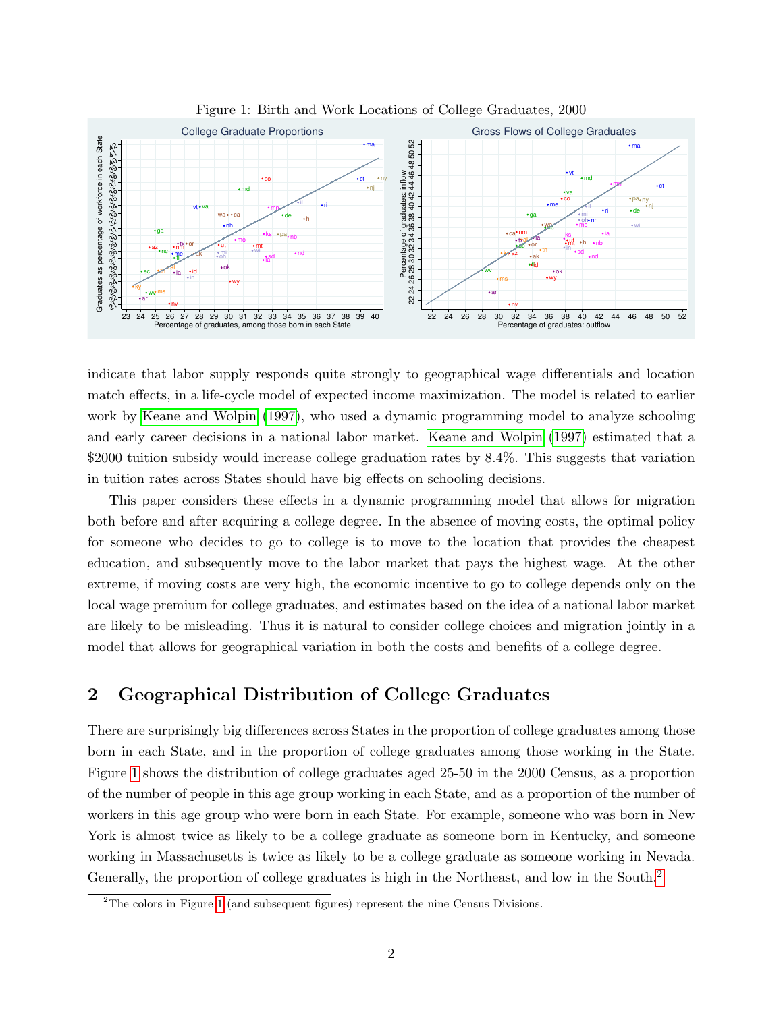

<span id="page-1-0"></span>Figure 1: Birth and Work Locations of College Graduates, 2000

indicate that labor supply responds quite strongly to geographical wage differentials and location match effects, in a life-cycle model of expected income maximization. The model is related to earlier work by [Keane and Wolpin](#page-27-1) [\(1997\)](#page-27-1), who used a dynamic programming model to analyze schooling and early career decisions in a national labor market. [Keane and Wolpin](#page-27-1) [\(1997\)](#page-27-1) estimated that a \$2000 tuition subsidy would increase college graduation rates by 8.4%. This suggests that variation in tuition rates across States should have big effects on schooling decisions.

This paper considers these effects in a dynamic programming model that allows for migration both before and after acquiring a college degree. In the absence of moving costs, the optimal policy for someone who decides to go to college is to move to the location that provides the cheapest education, and subsequently move to the labor market that pays the highest wage. At the other extreme, if moving costs are very high, the economic incentive to go to college depends only on the local wage premium for college graduates, and estimates based on the idea of a national labor market are likely to be misleading. Thus it is natural to consider college choices and migration jointly in a model that allows for geographical variation in both the costs and benefits of a college degree.

# 2 Geographical Distribution of College Graduates

There are surprisingly big differences across States in the proportion of college graduates among those born in each State, and in the proportion of college graduates among those working in the State. Figure [1](#page-1-0) shows the distribution of college graduates aged 25-50 in the 2000 Census, as a proportion of the number of people in this age group working in each State, and as a proportion of the number of workers in this age group who were born in each State. For example, someone who was born in New York is almost twice as likely to be a college graduate as someone born in Kentucky, and someone working in Massachusetts is twice as likely to be a college graduate as someone working in Nevada. Generally, the proportion of college graduates is high in the Northeast, and low in the South.[2](#page-1-1)

<span id="page-1-1"></span><sup>2</sup>The colors in Figure [1](#page-1-0) (and subsequent figures) represent the nine Census Divisions.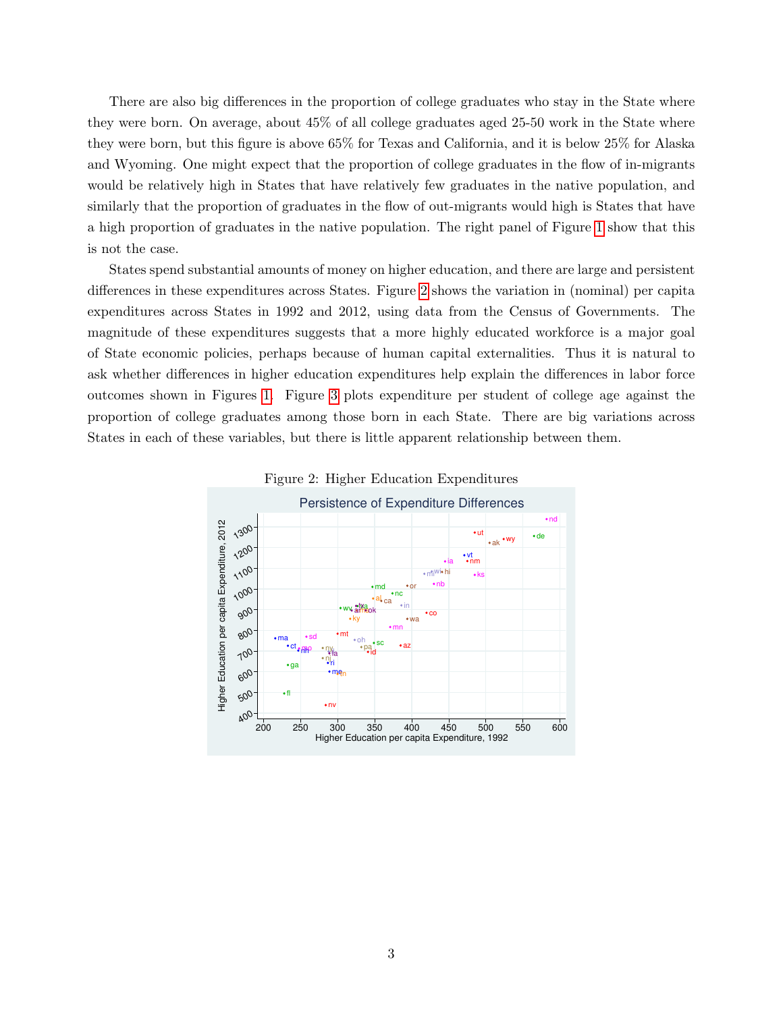There are also big differences in the proportion of college graduates who stay in the State where they were born. On average, about 45% of all college graduates aged 25-50 work in the State where they were born, but this figure is above 65% for Texas and California, and it is below 25% for Alaska and Wyoming. One might expect that the proportion of college graduates in the flow of in-migrants would be relatively high in States that have relatively few graduates in the native population, and similarly that the proportion of graduates in the flow of out-migrants would high is States that have a high proportion of graduates in the native population. The right panel of Figure [1](#page-1-0) show that this is not the case.

States spend substantial amounts of money on higher education, and there are large and persistent differences in these expenditures across States. Figure [2](#page-2-0) shows the variation in (nominal) per capita expenditures across States in 1992 and 2012, using data from the Census of Governments. The magnitude of these expenditures suggests that a more highly educated workforce is a major goal of State economic policies, perhaps because of human capital externalities. Thus it is natural to ask whether differences in higher education expenditures help explain the differences in labor force outcomes shown in Figures [1.](#page-1-0) Figure [3](#page-3-0) plots expenditure per student of college age against the proportion of college graduates among those born in each State. There are big variations across States in each of these variables, but there is little apparent relationship between them.



<span id="page-2-0"></span>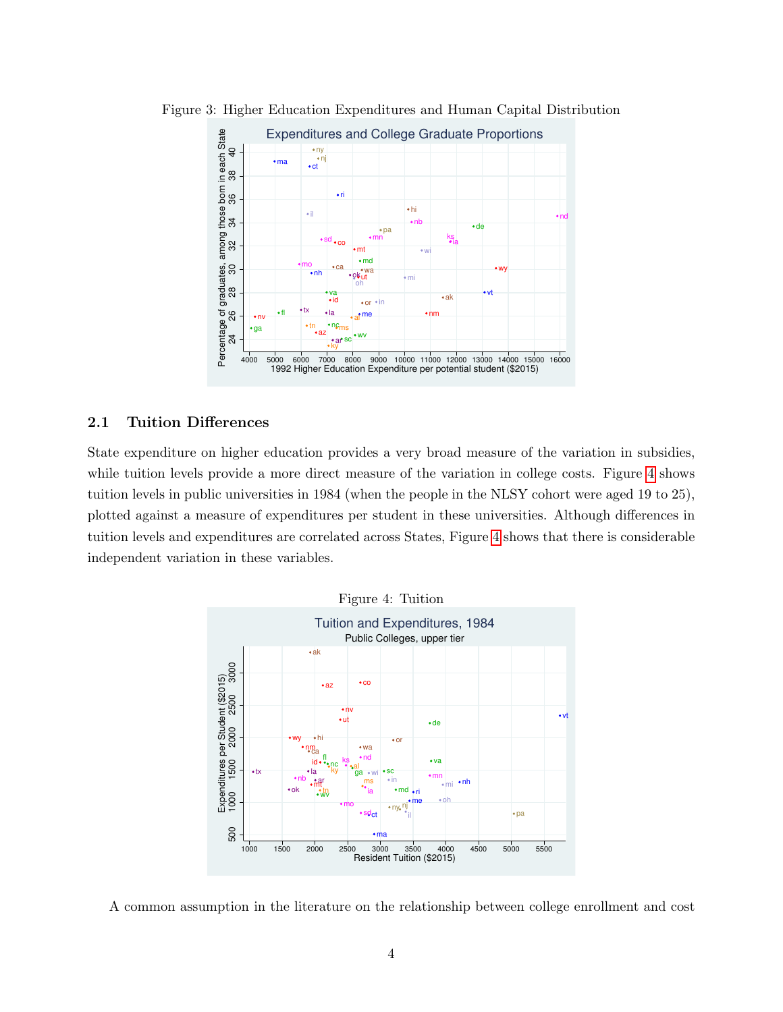<span id="page-3-0"></span>

Figure 3: Higher Education Expenditures and Human Capital Distribution

## 2.1 Tuition Differences

State expenditure on higher education provides a very broad measure of the variation in subsidies, while tuition levels provide a more direct measure of the variation in college costs. Figure [4](#page-3-1) shows tuition levels in public universities in 1984 (when the people in the NLSY cohort were aged 19 to 25), plotted against a measure of expenditures per student in these universities. Although differences in tuition levels and expenditures are correlated across States, Figure [4](#page-3-1) shows that there is considerable independent variation in these variables.

<span id="page-3-1"></span>

A common assumption in the literature on the relationship between college enrollment and cost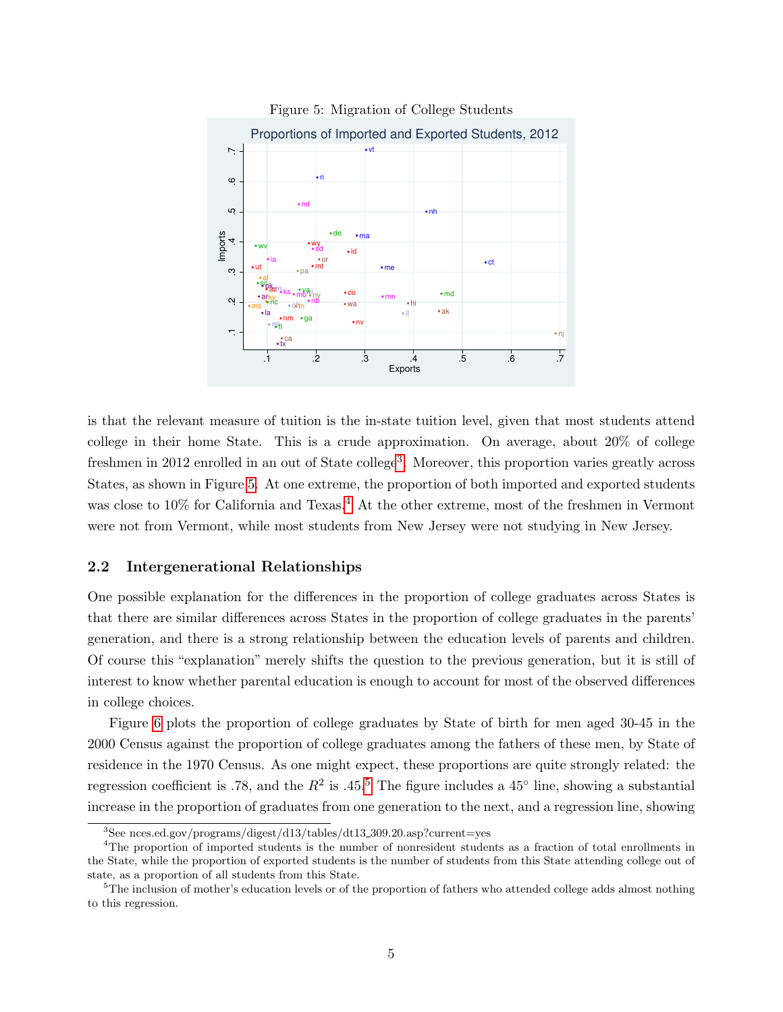

<span id="page-4-1"></span>Figure 5: Migration of College Students

is that the relevant measure of tuition is the in-state tuition level, given that most students attend college in their home State. This is a crude approximation. On average, about 20% of college freshmen in 2012 enrolled in an out of State college<sup>[3](#page-4-0)</sup>. Moreover, this proportion varies greatly across States, as shown in Figure [5.](#page-4-1) At one extreme, the proportion of both imported and exported students was close to 10% for California and Texas.<sup>[4](#page-4-2)</sup> At the other extreme, most of the freshmen in Vermont were not from Vermont, while most students from New Jersey were not studying in New Jersey.

#### 2.2 Intergenerational Relationships

One possible explanation for the differences in the proportion of college graduates across States is that there are similar differences across States in the proportion of college graduates in the parents' generation, and there is a strong relationship between the education levels of parents and children. Of course this "explanation" merely shifts the question to the previous generation, but it is still of interest to know whether parental education is enough to account for most of the observed differences in college choices.

Figure [6](#page-5-1) plots the proportion of college graduates by State of birth for men aged 30-45 in the 2000 Census against the proportion of college graduates among the fathers of these men, by State of residence in the 1970 Census. As one might expect, these proportions are quite strongly related: the regression coefficient is .78, and the  $R^2$  is .4[5](#page-4-3).<sup>5</sup> The figure includes a 45<sup>°</sup> line, showing a substantial increase in the proportion of graduates from one generation to the next, and a regression line, showing

<span id="page-4-2"></span><span id="page-4-0"></span><sup>3</sup>See nces.ed.gov/programs/digest/d13/tables/dt13 309.20.asp?current=yes

<sup>&</sup>lt;sup>4</sup>The proportion of imported students is the number of nonresident students as a fraction of total enrollments in the State, while the proportion of exported students is the number of students from this State attending college out of state, as a proportion of all students from this State.

<span id="page-4-3"></span> $5$ The inclusion of mother's education levels or of the proportion of fathers who attended college adds almost nothing to this regression.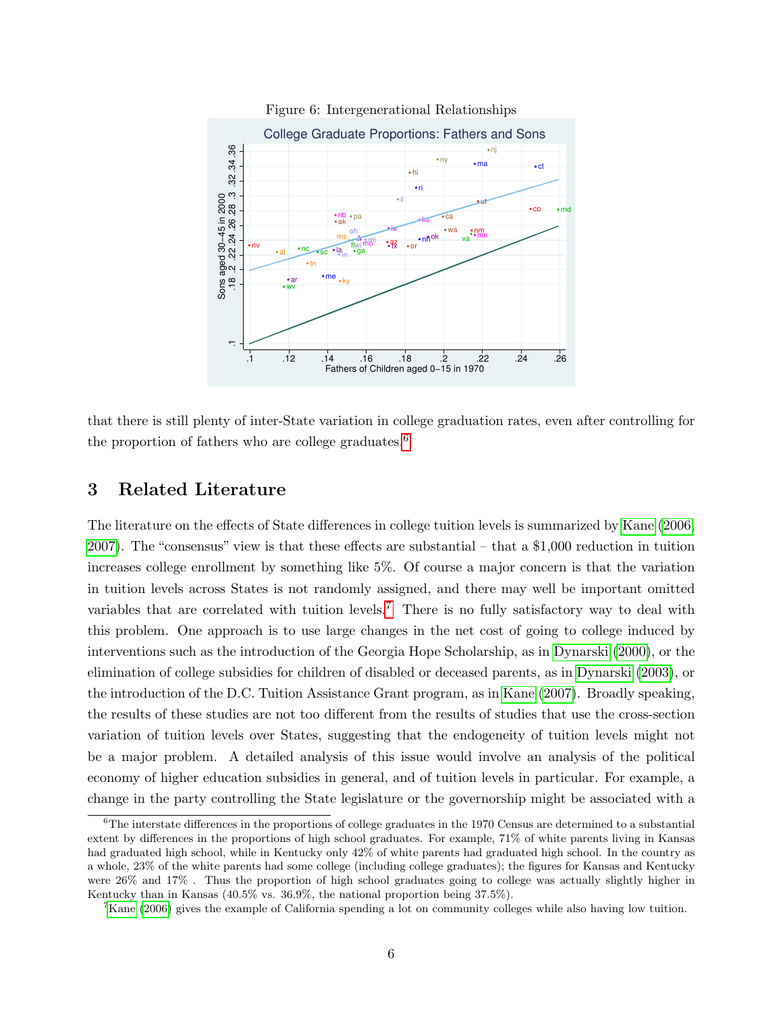

<span id="page-5-1"></span>Figure 6: Intergenerational Relationships

that there is still plenty of inter-State variation in college graduation rates, even after controlling for the proportion of fathers who are college graduates.<sup>[6](#page-5-2)</sup>

## <span id="page-5-0"></span>3 Related Literature

The literature on the effects of State differences in college tuition levels is summarized by [Kane](#page-26-2) [\(2006,](#page-26-2) [2007\)](#page-26-3). The "consensus" view is that these effects are substantial – that a \$1,000 reduction in tuition increases college enrollment by something like 5%. Of course a major concern is that the variation in tuition levels across States is not randomly assigned, and there may well be important omitted variables that are correlated with tuition levels.<sup>[7](#page-5-3)</sup> There is no fully satisfactory way to deal with this problem. One approach is to use large changes in the net cost of going to college induced by interventions such as the introduction of the Georgia Hope Scholarship, as in [Dynarski](#page-26-4) [\(2000\)](#page-26-4), or the elimination of college subsidies for children of disabled or deceased parents, as in [Dynarski](#page-26-5) [\(2003\)](#page-26-5), or the introduction of the D.C. Tuition Assistance Grant program, as in [Kane](#page-26-3) [\(2007\)](#page-26-3). Broadly speaking, the results of these studies are not too different from the results of studies that use the cross-section variation of tuition levels over States, suggesting that the endogeneity of tuition levels might not be a major problem. A detailed analysis of this issue would involve an analysis of the political economy of higher education subsidies in general, and of tuition levels in particular. For example, a change in the party controlling the State legislature or the governorship might be associated with a

<span id="page-5-2"></span> ${}^{6}$ The interstate differences in the proportions of college graduates in the 1970 Census are determined to a substantial extent by differences in the proportions of high school graduates. For example, 71% of white parents living in Kansas had graduated high school, while in Kentucky only 42% of white parents had graduated high school. In the country as a whole, 23% of the white parents had some college (including college graduates); the figures for Kansas and Kentucky were 26% and 17% . Thus the proportion of high school graduates going to college was actually slightly higher in Kentucky than in Kansas (40.5% vs. 36.9%, the national proportion being 37.5%).

<span id="page-5-3"></span><sup>&</sup>lt;sup>7</sup>[Kane](#page-26-2) [\(2006\)](#page-26-2) gives the example of California spending a lot on community colleges while also having low tuition.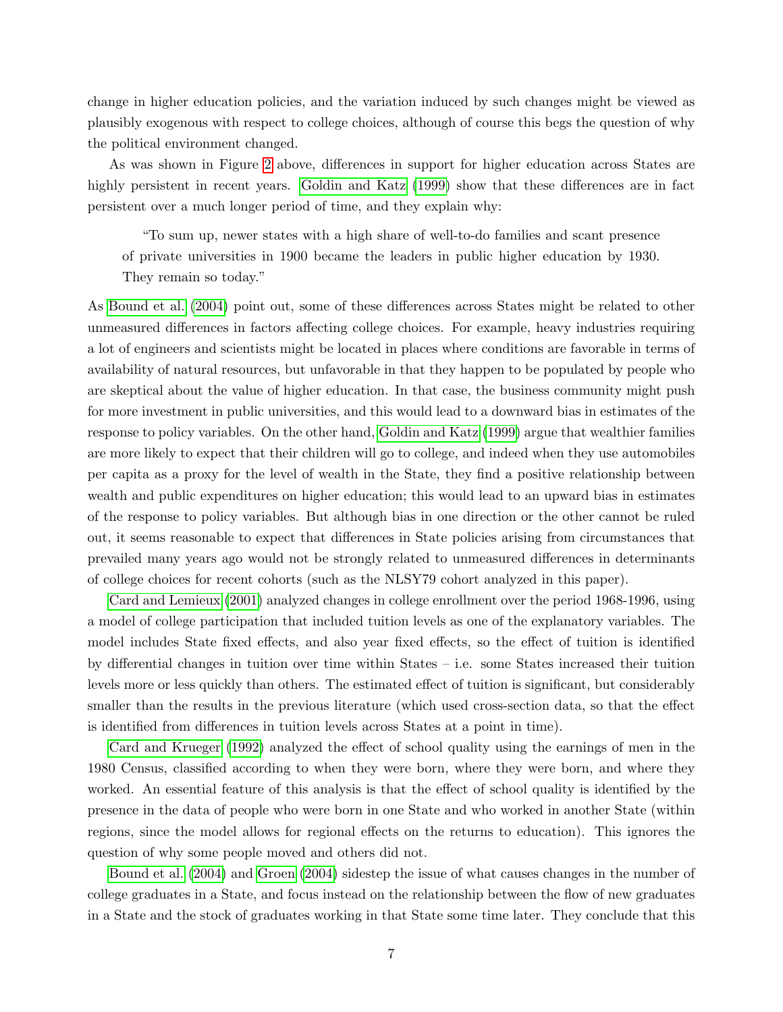change in higher education policies, and the variation induced by such changes might be viewed as plausibly exogenous with respect to college choices, although of course this begs the question of why the political environment changed.

As was shown in Figure [2](#page-2-0) above, differences in support for higher education across States are highly persistent in recent years. [Goldin and Katz](#page-26-6) [\(1999\)](#page-26-6) show that these differences are in fact persistent over a much longer period of time, and they explain why:

"To sum up, newer states with a high share of well-to-do families and scant presence of private universities in 1900 became the leaders in public higher education by 1930. They remain so today."

As [Bound et al.](#page-26-7) [\(2004\)](#page-26-7) point out, some of these differences across States might be related to other unmeasured differences in factors affecting college choices. For example, heavy industries requiring a lot of engineers and scientists might be located in places where conditions are favorable in terms of availability of natural resources, but unfavorable in that they happen to be populated by people who are skeptical about the value of higher education. In that case, the business community might push for more investment in public universities, and this would lead to a downward bias in estimates of the response to policy variables. On the other hand, [Goldin and Katz](#page-26-6) [\(1999\)](#page-26-6) argue that wealthier families are more likely to expect that their children will go to college, and indeed when they use automobiles per capita as a proxy for the level of wealth in the State, they find a positive relationship between wealth and public expenditures on higher education; this would lead to an upward bias in estimates of the response to policy variables. But although bias in one direction or the other cannot be ruled out, it seems reasonable to expect that differences in State policies arising from circumstances that prevailed many years ago would not be strongly related to unmeasured differences in determinants of college choices for recent cohorts (such as the NLSY79 cohort analyzed in this paper).

[Card and Lemieux](#page-26-8) [\(2001\)](#page-26-8) analyzed changes in college enrollment over the period 1968-1996, using a model of college participation that included tuition levels as one of the explanatory variables. The model includes State fixed effects, and also year fixed effects, so the effect of tuition is identified by differential changes in tuition over time within States – i.e. some States increased their tuition levels more or less quickly than others. The estimated effect of tuition is significant, but considerably smaller than the results in the previous literature (which used cross-section data, so that the effect is identified from differences in tuition levels across States at a point in time).

[Card and Krueger](#page-26-9) [\(1992\)](#page-26-9) analyzed the effect of school quality using the earnings of men in the 1980 Census, classified according to when they were born, where they were born, and where they worked. An essential feature of this analysis is that the effect of school quality is identified by the presence in the data of people who were born in one State and who worked in another State (within regions, since the model allows for regional effects on the returns to education). This ignores the question of why some people moved and others did not.

[Bound et al.](#page-26-7) [\(2004\)](#page-26-7) and [Groen](#page-26-10) [\(2004\)](#page-26-10) sidestep the issue of what causes changes in the number of college graduates in a State, and focus instead on the relationship between the flow of new graduates in a State and the stock of graduates working in that State some time later. They conclude that this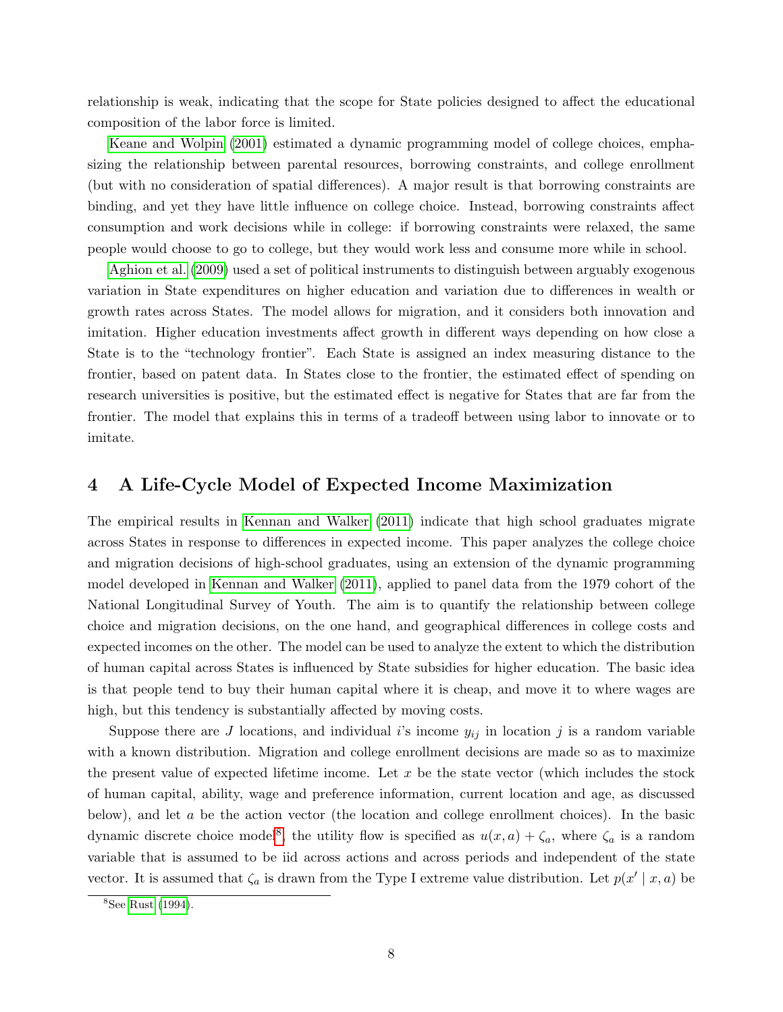relationship is weak, indicating that the scope for State policies designed to affect the educational composition of the labor force is limited.

[Keane and Wolpin](#page-27-2) [\(2001\)](#page-27-2) estimated a dynamic programming model of college choices, emphasizing the relationship between parental resources, borrowing constraints, and college enrollment (but with no consideration of spatial differences). A major result is that borrowing constraints are binding, and yet they have little influence on college choice. Instead, borrowing constraints affect consumption and work decisions while in college: if borrowing constraints were relaxed, the same people would choose to go to college, but they would work less and consume more while in school.

[Aghion et al.](#page-26-11) [\(2009\)](#page-26-11) used a set of political instruments to distinguish between arguably exogenous variation in State expenditures on higher education and variation due to differences in wealth or growth rates across States. The model allows for migration, and it considers both innovation and imitation. Higher education investments affect growth in different ways depending on how close a State is to the "technology frontier". Each State is assigned an index measuring distance to the frontier, based on patent data. In States close to the frontier, the estimated effect of spending on research universities is positive, but the estimated effect is negative for States that are far from the frontier. The model that explains this in terms of a tradeoff between using labor to innovate or to imitate.

## 4 A Life-Cycle Model of Expected Income Maximization

The empirical results in [Kennan and Walker](#page-27-0) [\(2011\)](#page-27-0) indicate that high school graduates migrate across States in response to differences in expected income. This paper analyzes the college choice and migration decisions of high-school graduates, using an extension of the dynamic programming model developed in [Kennan and Walker](#page-27-0) [\(2011\)](#page-27-0), applied to panel data from the 1979 cohort of the National Longitudinal Survey of Youth. The aim is to quantify the relationship between college choice and migration decisions, on the one hand, and geographical differences in college costs and expected incomes on the other. The model can be used to analyze the extent to which the distribution of human capital across States is influenced by State subsidies for higher education. The basic idea is that people tend to buy their human capital where it is cheap, and move it to where wages are high, but this tendency is substantially affected by moving costs.

Suppose there are J locations, and individual i's income  $y_{ij}$  in location j is a random variable with a known distribution. Migration and college enrollment decisions are made so as to maximize the present value of expected lifetime income. Let  $x$  be the state vector (which includes the stock of human capital, ability, wage and preference information, current location and age, as discussed below), and let a be the action vector (the location and college enrollment choices). In the basic dynamic discrete choice model<sup>[8](#page-7-0)</sup>, the utility flow is specified as  $u(x, a) + \zeta_a$ , where  $\zeta_a$  is a random variable that is assumed to be iid across actions and across periods and independent of the state vector. It is assumed that  $\zeta_a$  is drawn from the Type I extreme value distribution. Let  $p(x' | x, a)$  be

<span id="page-7-0"></span> $8$ See [Rust](#page-27-3) [\(1994\)](#page-27-3).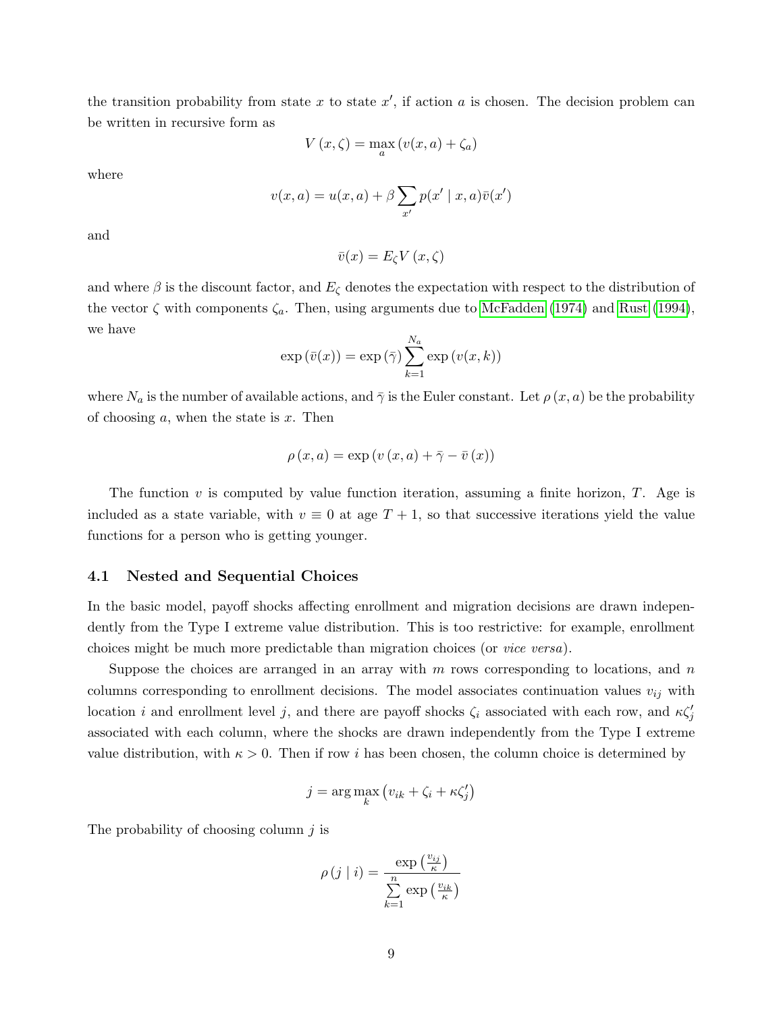the transition probability from state x to state  $x'$ , if action a is chosen. The decision problem can be written in recursive form as

$$
V(x,\zeta) = \max_{a} \left( v(x,a) + \zeta_a \right)
$$

where

$$
v(x,a) = u(x,a) + \beta \sum_{x'} p(x' \mid x, a)\overline{v}(x')
$$

and

$$
\bar{v}(x) = E_{\zeta} V(x, \zeta)
$$

and where  $\beta$  is the discount factor, and  $E_{\zeta}$  denotes the expectation with respect to the distribution of the vector  $\zeta$  with components  $\zeta_a$ . Then, using arguments due to [McFadden](#page-27-4) [\(1974\)](#page-27-4) and [Rust](#page-27-3) [\(1994\)](#page-27-3), we have

$$
\exp(\bar{v}(x)) = \exp(\bar{\gamma}) \sum_{k=1}^{N_a} \exp(v(x, k))
$$

where  $N_a$  is the number of available actions, and  $\bar{\gamma}$  is the Euler constant. Let  $\rho(x, a)$  be the probability of choosing  $a$ , when the state is  $x$ . Then

$$
\rho(x, a) = \exp(v(x, a) + \overline{\gamma} - \overline{v}(x))
$$

The function  $v$  is computed by value function iteration, assuming a finite horizon,  $T$ . Age is included as a state variable, with  $v \equiv 0$  at age  $T + 1$ , so that successive iterations yield the value functions for a person who is getting younger.

#### 4.1 Nested and Sequential Choices

In the basic model, payoff shocks affecting enrollment and migration decisions are drawn independently from the Type I extreme value distribution. This is too restrictive: for example, enrollment choices might be much more predictable than migration choices (or vice versa).

Suppose the choices are arranged in an array with  $m$  rows corresponding to locations, and  $n$ columns corresponding to enrollment decisions. The model associates continuation values  $v_{ij}$  with location i and enrollment level j, and there are payoff shocks  $\zeta_i$  associated with each row, and  $\kappa \zeta_j$ associated with each column, where the shocks are drawn independently from the Type I extreme value distribution, with  $\kappa > 0$ . Then if row i has been chosen, the column choice is determined by

$$
j = \arg\max_{k} (v_{ik} + \zeta_i + \kappa \zeta'_j)
$$

The probability of choosing column  $j$  is

$$
\rho(j \mid i) = \frac{\exp\left(\frac{v_{ij}}{\kappa}\right)}{\sum\limits_{k=1}^{n} \exp\left(\frac{v_{ik}}{\kappa}\right)}
$$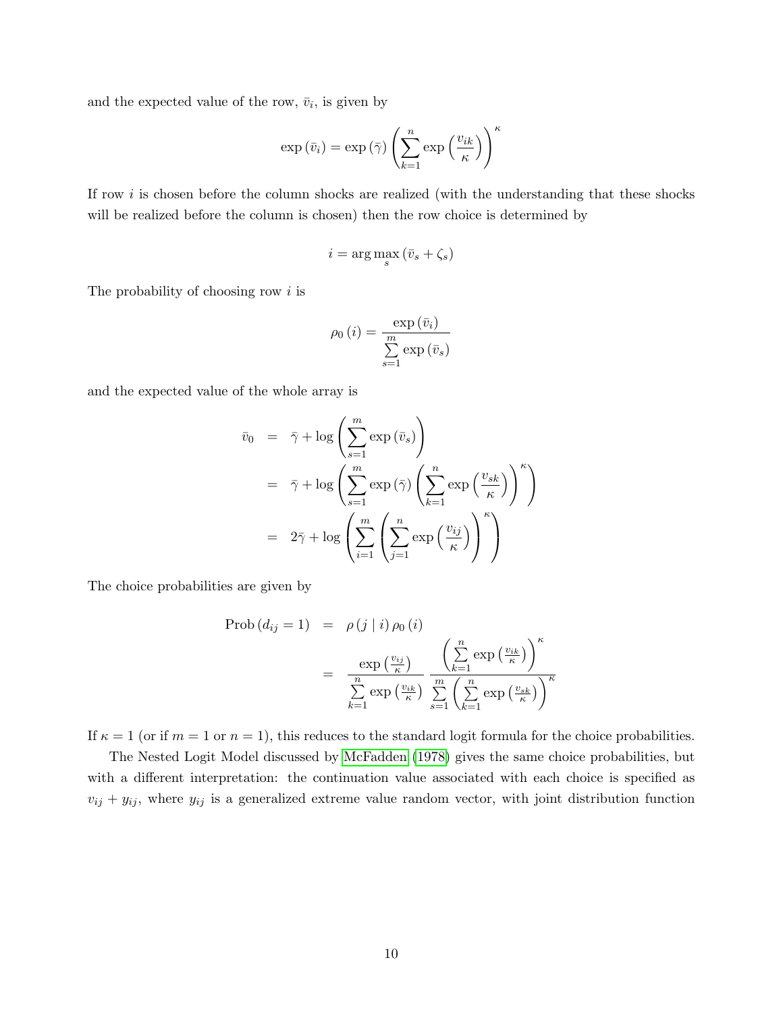and the expected value of the row,  $\bar{v}_i$ , is given by

$$
\exp\left(\bar{v}_i\right) = \exp\left(\bar{\gamma}\right) \left(\sum_{k=1}^n \exp\left(\frac{v_{ik}}{\kappa}\right)\right)^{\kappa}
$$

If row i is chosen before the column shocks are realized (with the understanding that these shocks will be realized before the column is chosen) then the row choice is determined by

$$
i = \arg\max_{s} (\bar{v}_s + \zeta_s)
$$

The probability of choosing row  $i$  is

$$
\rho_0(i) = \frac{\exp(\bar{v}_i)}{\sum_{s=1}^m \exp(\bar{v}_s)}
$$

and the expected value of the whole array is

$$
\bar{v}_0 = \bar{\gamma} + \log \left( \sum_{s=1}^m \exp(\bar{v}_s) \right)
$$
  
\n
$$
= \bar{\gamma} + \log \left( \sum_{s=1}^m \exp(\bar{\gamma}) \left( \sum_{k=1}^n \exp\left(\frac{v_{sk}}{\kappa}\right) \right)^{\kappa} \right)
$$
  
\n
$$
= 2\bar{\gamma} + \log \left( \sum_{i=1}^m \left( \sum_{j=1}^n \exp\left(\frac{v_{ij}}{\kappa}\right) \right)^{\kappa} \right)
$$

The choice probabilities are given by

$$
\text{Prob}\left(d_{ij} = 1\right) = \rho\left(j \mid i\right) \rho_0\left(i\right)
$$
\n
$$
= \frac{\exp\left(\frac{v_{ij}}{\kappa}\right)}{\sum\limits_{k=1}^{n} \exp\left(\frac{v_{ik}}{\kappa}\right)} \frac{\left(\sum\limits_{k=1}^{n} \exp\left(\frac{v_{ik}}{\kappa}\right)\right)^{\kappa}}{\sum\limits_{s=1}^{m} \left(\sum\limits_{k=1}^{n} \exp\left(\frac{v_{sk}}{\kappa}\right)\right)^{\kappa}}
$$

If  $\kappa = 1$  (or if  $m = 1$  or  $n = 1$ ), this reduces to the standard logit formula for the choice probabilities.

The Nested Logit Model discussed by [McFadden](#page-27-5) [\(1978\)](#page-27-5) gives the same choice probabilities, but with a different interpretation: the continuation value associated with each choice is specified as  $v_{ij} + y_{ij}$ , where  $y_{ij}$  is a generalized extreme value random vector, with joint distribution function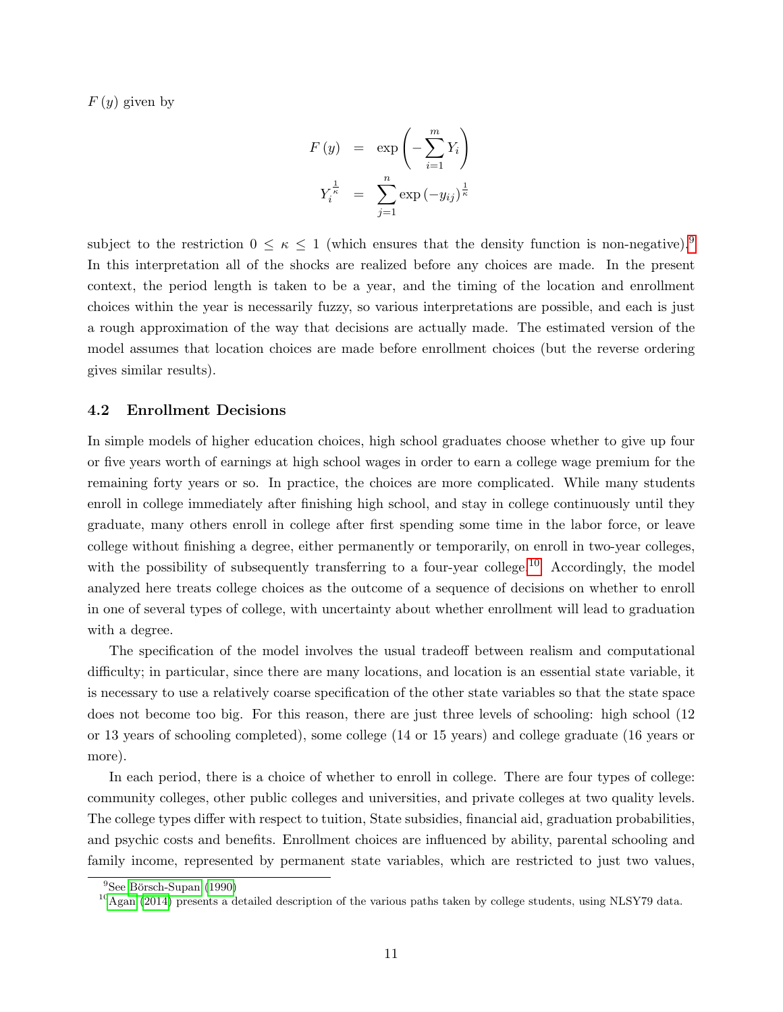$F(y)$  given by

$$
F(y) = \exp\left(-\sum_{i=1}^{m} Y_i\right)
$$

$$
Y_i^{\frac{1}{\kappa}} = \sum_{j=1}^{n} \exp(-y_{ij})^{\frac{1}{\kappa}}
$$

subject to the restriction  $0 \leq \kappa \leq 1$  (which ensures that the density function is non-negative).<sup>[9](#page-10-0)</sup> In this interpretation all of the shocks are realized before any choices are made. In the present context, the period length is taken to be a year, and the timing of the location and enrollment choices within the year is necessarily fuzzy, so various interpretations are possible, and each is just a rough approximation of the way that decisions are actually made. The estimated version of the model assumes that location choices are made before enrollment choices (but the reverse ordering gives similar results).

#### 4.2 Enrollment Decisions

In simple models of higher education choices, high school graduates choose whether to give up four or five years worth of earnings at high school wages in order to earn a college wage premium for the remaining forty years or so. In practice, the choices are more complicated. While many students enroll in college immediately after finishing high school, and stay in college continuously until they graduate, many others enroll in college after first spending some time in the labor force, or leave college without finishing a degree, either permanently or temporarily, on enroll in two-year colleges, with the possibility of subsequently transferring to a four-year college.<sup>[10](#page-10-1)</sup> Accordingly, the model analyzed here treats college choices as the outcome of a sequence of decisions on whether to enroll in one of several types of college, with uncertainty about whether enrollment will lead to graduation with a degree.

The specification of the model involves the usual tradeoff between realism and computational difficulty; in particular, since there are many locations, and location is an essential state variable, it is necessary to use a relatively coarse specification of the other state variables so that the state space does not become too big. For this reason, there are just three levels of schooling: high school (12 or 13 years of schooling completed), some college (14 or 15 years) and college graduate (16 years or more).

In each period, there is a choice of whether to enroll in college. There are four types of college: community colleges, other public colleges and universities, and private colleges at two quality levels. The college types differ with respect to tuition, State subsidies, financial aid, graduation probabilities, and psychic costs and benefits. Enrollment choices are influenced by ability, parental schooling and family income, represented by permanent state variables, which are restricted to just two values,

<span id="page-10-0"></span> $9$ See Börsch-Supan [\(1990\)](#page-26-12)

<span id="page-10-1"></span> $10$ [Agan](#page-26-13) [\(2014\)](#page-26-13) presents a detailed description of the various paths taken by college students, using NLSY79 data.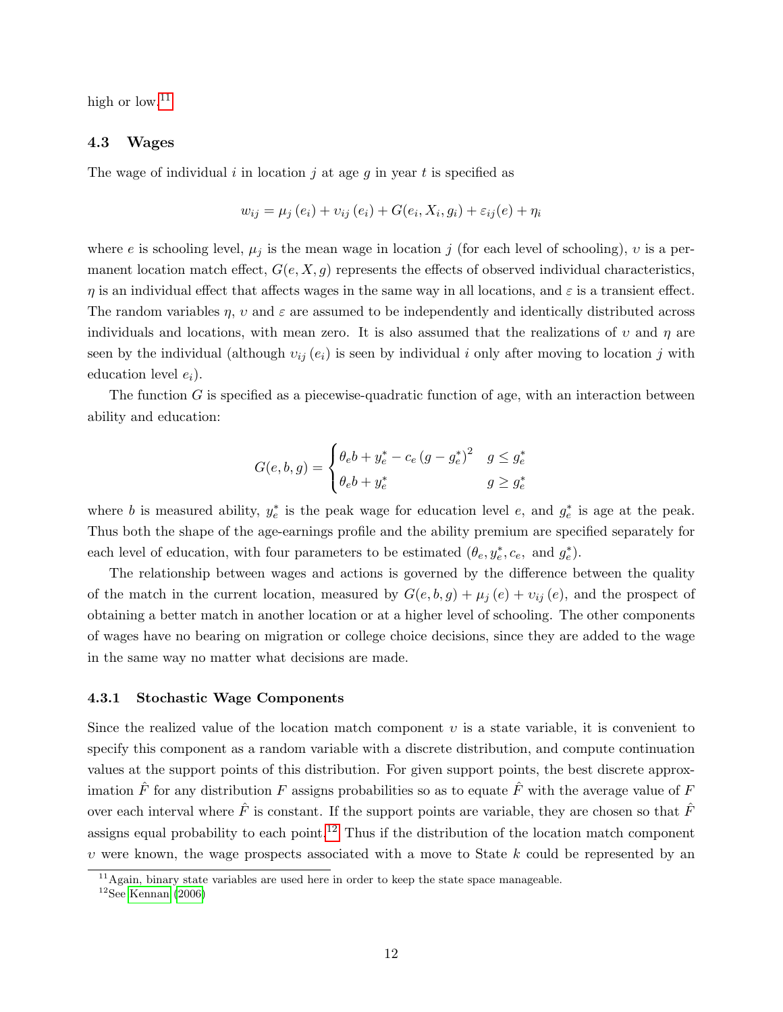high or low.<sup>[11](#page-11-0)</sup>

#### 4.3 Wages

The wage of individual i in location j at age g in year t is specified as

$$
w_{ij} = \mu_j(e_i) + v_{ij}(e_i) + G(e_i, X_i, g_i) + \varepsilon_{ij}(e) + \eta_i
$$

where e is schooling level,  $\mu_j$  is the mean wage in location j (for each level of schooling), v is a permanent location match effect,  $G(e, X, g)$  represents the effects of observed individual characteristics,  $\eta$  is an individual effect that affects wages in the same way in all locations, and  $\varepsilon$  is a transient effect. The random variables  $\eta$ ,  $\upsilon$  and  $\varepsilon$  are assumed to be independently and identically distributed across individuals and locations, with mean zero. It is also assumed that the realizations of  $v$  and  $\eta$  are seen by the individual (although  $v_{ij}(e_i)$  is seen by individual i only after moving to location j with education level  $e_i$ ).

The function  $G$  is specified as a piecewise-quadratic function of age, with an interaction between ability and education:

$$
G(e, b, g) = \begin{cases} \theta_e b + y_e^* - c_e (g - g_e^*)^2 & g \leq g_e^* \\ \theta_e b + y_e^* & g \geq g_e^* \end{cases}
$$

where b is measured ability,  $y_e^*$  is the peak wage for education level e, and  $g_e^*$  is age at the peak. Thus both the shape of the age-earnings profile and the ability premium are specified separately for each level of education, with four parameters to be estimated  $(\theta_e, y_e^*, c_e, \text{ and } g_e^*)$ .

The relationship between wages and actions is governed by the difference between the quality of the match in the current location, measured by  $G(e, b, g) + \mu_j(e) + \nu_{ij}(e)$ , and the prospect of obtaining a better match in another location or at a higher level of schooling. The other components of wages have no bearing on migration or college choice decisions, since they are added to the wage in the same way no matter what decisions are made.

#### 4.3.1 Stochastic Wage Components

Since the realized value of the location match component  $v$  is a state variable, it is convenient to specify this component as a random variable with a discrete distribution, and compute continuation values at the support points of this distribution. For given support points, the best discrete approximation  $\hat{F}$  for any distribution F assigns probabilities so as to equate  $\hat{F}$  with the average value of F over each interval where  $\hat{F}$  is constant. If the support points are variable, they are chosen so that  $\hat{F}$ assigns equal probability to each point.<sup>[12](#page-11-1)</sup> Thus if the distribution of the location match component  $v$  were known, the wage prospects associated with a move to State  $k$  could be represented by an

<span id="page-11-0"></span> $11$ Again, binary state variables are used here in order to keep the state space manageable.

<span id="page-11-1"></span> $12$ See [Kennan](#page-27-6) [\(2006\)](#page-27-6)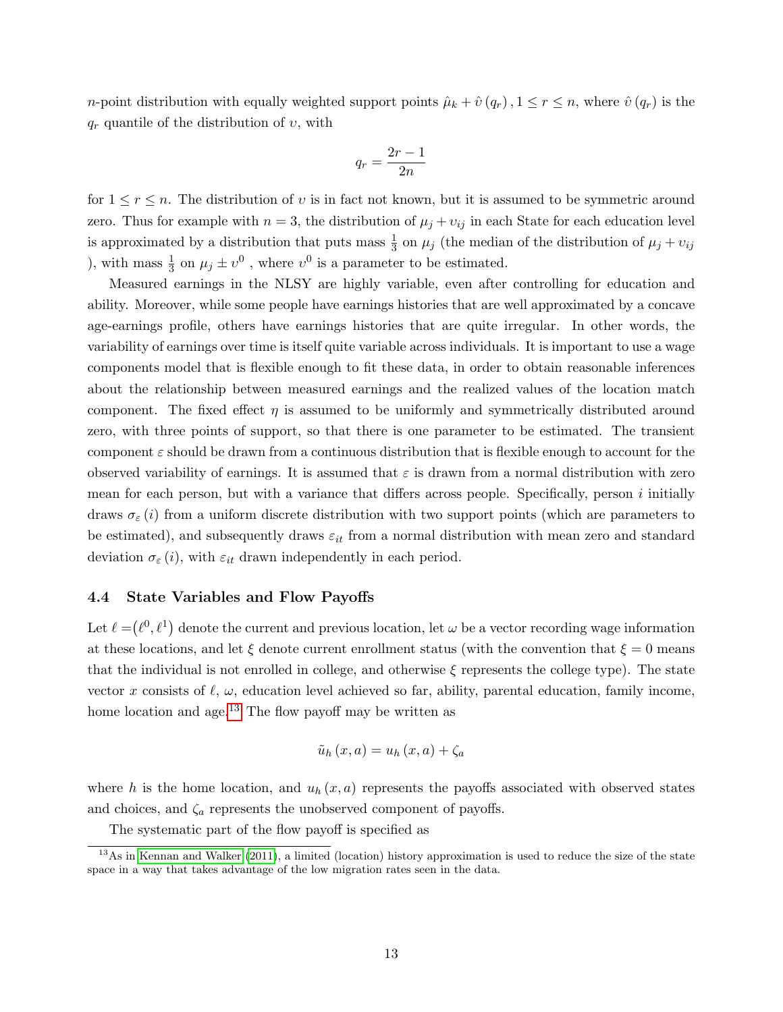*n*-point distribution with equally weighted support points  $\hat{\mu}_k + \hat{v}(q_r)$ ,  $1 \leq r \leq n$ , where  $\hat{v}(q_r)$  is the  $q_r$  quantile of the distribution of  $v$ , with

$$
q_r = \frac{2r-1}{2n}
$$

for  $1 \leq r \leq n$ . The distribution of v is in fact not known, but it is assumed to be symmetric around zero. Thus for example with  $n = 3$ , the distribution of  $\mu_j + \nu_{ij}$  in each State for each education level is approximated by a distribution that puts mass  $\frac{1}{3}$  on  $\mu_j$  (the median of the distribution of  $\mu_j + \nu_{ij}$ ), with mass  $\frac{1}{3}$  on  $\mu_j \pm \upsilon^0$ , where  $\upsilon^0$  is a parameter to be estimated.

Measured earnings in the NLSY are highly variable, even after controlling for education and ability. Moreover, while some people have earnings histories that are well approximated by a concave age-earnings profile, others have earnings histories that are quite irregular. In other words, the variability of earnings over time is itself quite variable across individuals. It is important to use a wage components model that is flexible enough to fit these data, in order to obtain reasonable inferences about the relationship between measured earnings and the realized values of the location match component. The fixed effect  $\eta$  is assumed to be uniformly and symmetrically distributed around zero, with three points of support, so that there is one parameter to be estimated. The transient component  $\varepsilon$  should be drawn from a continuous distribution that is flexible enough to account for the observed variability of earnings. It is assumed that  $\varepsilon$  is drawn from a normal distribution with zero mean for each person, but with a variance that differs across people. Specifically, person  $i$  initially draws  $\sigma_{\varepsilon}(i)$  from a uniform discrete distribution with two support points (which are parameters to be estimated), and subsequently draws  $\varepsilon_{it}$  from a normal distribution with mean zero and standard deviation  $\sigma_{\varepsilon}(i)$ , with  $\varepsilon_{it}$  drawn independently in each period.

#### 4.4 State Variables and Flow Payoffs

Let  $\ell = (\ell^0, \ell^1)$  denote the current and previous location, let  $\omega$  be a vector recording wage information at these locations, and let  $\xi$  denote current enrollment status (with the convention that  $\xi = 0$  means that the individual is not enrolled in college, and otherwise  $\xi$  represents the college type). The state vector x consists of  $\ell$ ,  $\omega$ , education level achieved so far, ability, parental education, family income, home location and age.<sup>[13](#page-12-0)</sup> The flow payoff may be written as

$$
\tilde{u}_h(x,a) = u_h(x,a) + \zeta_a
$$

where h is the home location, and  $u_h(x, a)$  represents the payoffs associated with observed states and choices, and  $\zeta_a$  represents the unobserved component of payoffs.

<span id="page-12-0"></span>The systematic part of the flow payoff is specified as

<sup>&</sup>lt;sup>13</sup>As in [Kennan and Walker](#page-27-0) [\(2011\)](#page-27-0), a limited (location) history approximation is used to reduce the size of the state space in a way that takes advantage of the low migration rates seen in the data.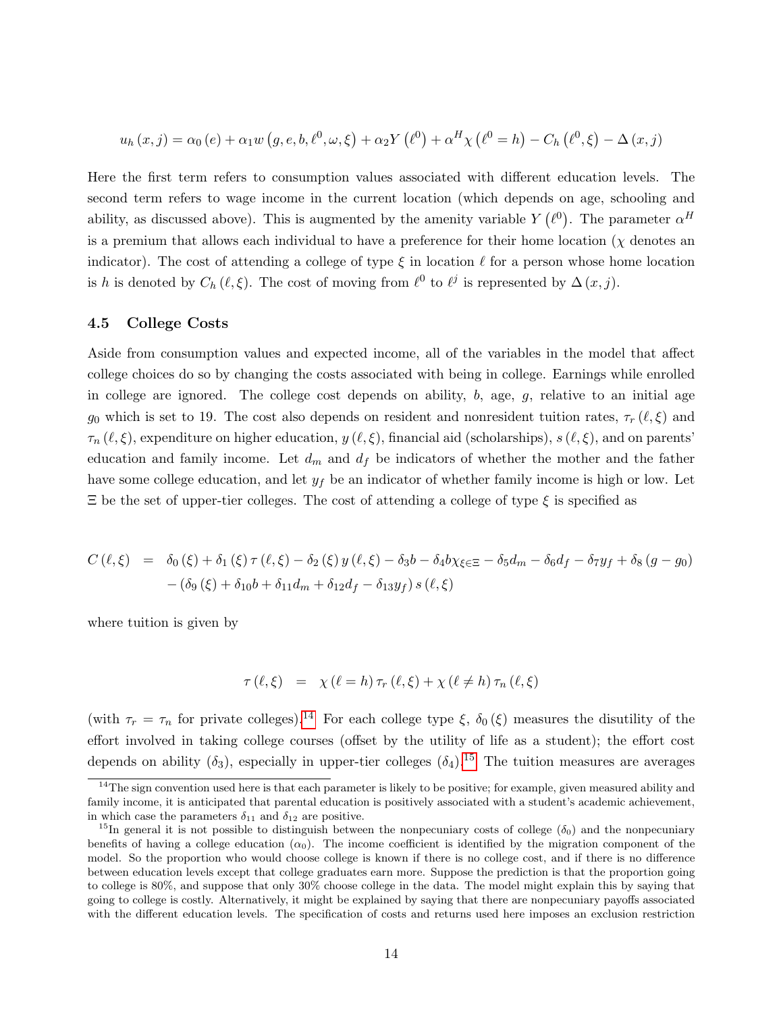$$
u_h(x, j) = \alpha_0(e) + \alpha_1 w(g, e, b, \ell^0, \omega, \xi) + \alpha_2 Y(\ell^0) + \alpha^H \chi(\ell^0 = h) - C_h(\ell^0, \xi) - \Delta(x, j)
$$

Here the first term refers to consumption values associated with different education levels. The second term refers to wage income in the current location (which depends on age, schooling and ability, as discussed above). This is augmented by the amenity variable  $Y(\ell^0)$ . The parameter  $\alpha^H$ is a premium that allows each individual to have a preference for their home location ( $\chi$  denotes an indicator). The cost of attending a college of type  $\xi$  in location  $\ell$  for a person whose home location is h is denoted by  $C_h(\ell, \xi)$ . The cost of moving from  $\ell^0$  to  $\ell^j$  is represented by  $\Delta(x, j)$ .

#### 4.5 College Costs

Aside from consumption values and expected income, all of the variables in the model that affect college choices do so by changing the costs associated with being in college. Earnings while enrolled in college are ignored. The college cost depends on ability,  $b$ , age,  $q$ , relative to an initial age g<sub>0</sub> which is set to 19. The cost also depends on resident and nonresident tuition rates,  $\tau_r(\ell, \xi)$  and  $\tau_n(\ell, \xi)$ , expenditure on higher education,  $y(\ell, \xi)$ , financial aid (scholarships),  $s(\ell, \xi)$ , and on parents' education and family income. Let  $d_m$  and  $d_f$  be indicators of whether the mother and the father have some college education, and let  $y_f$  be an indicator of whether family income is high or low. Let  $\Xi$  be the set of upper-tier colleges. The cost of attending a college of type  $\xi$  is specified as

$$
C(\ell, \xi) = \delta_0(\xi) + \delta_1(\xi) \tau(\ell, \xi) - \delta_2(\xi) y(\ell, \xi) - \delta_3 b - \delta_4 b \chi_{\xi \in \Xi} - \delta_5 d_m - \delta_6 d_f - \delta_7 y_f + \delta_8 (g - g_0) - (\delta_9(\xi) + \delta_{10} b + \delta_{11} d_m + \delta_{12} d_f - \delta_{13} y_f) s(\ell, \xi)
$$

where tuition is given by

$$
\tau(\ell,\xi) = \chi(\ell=h)\,\tau_r(\ell,\xi) + \chi(\ell \neq h)\,\tau_n(\ell,\xi)
$$

(with  $\tau_r = \tau_n$  for private colleges).<sup>[14](#page-13-0)</sup> For each college type  $\xi$ ,  $\delta_0(\xi)$  measures the disutility of the effort involved in taking college courses (offset by the utility of life as a student); the effort cost depends on ability  $(\delta_3)$ , especially in upper-tier colleges  $(\delta_4)$ <sup>[15](#page-13-1)</sup>. The tuition measures are averages

<span id="page-13-0"></span> $14$ The sign convention used here is that each parameter is likely to be positive; for example, given measured ability and family income, it is anticipated that parental education is positively associated with a student's academic achievement, in which case the parameters  $\delta_{11}$  and  $\delta_{12}$  are positive.

<span id="page-13-1"></span><sup>&</sup>lt;sup>15</sup>In general it is not possible to distinguish between the nonpecuniary costs of college ( $\delta_0$ ) and the nonpecuniary benefits of having a college education  $(\alpha_0)$ . The income coefficient is identified by the migration component of the model. So the proportion who would choose college is known if there is no college cost, and if there is no difference between education levels except that college graduates earn more. Suppose the prediction is that the proportion going to college is 80%, and suppose that only 30% choose college in the data. The model might explain this by saying that going to college is costly. Alternatively, it might be explained by saying that there are nonpecuniary payoffs associated with the different education levels. The specification of costs and returns used here imposes an exclusion restriction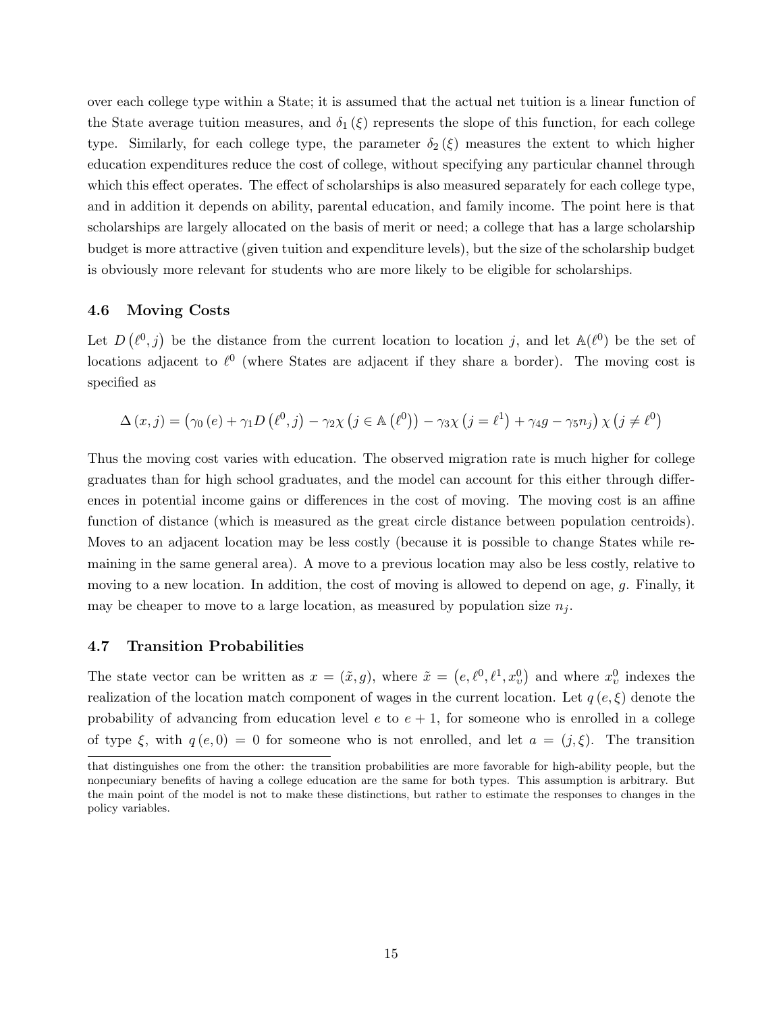over each college type within a State; it is assumed that the actual net tuition is a linear function of the State average tuition measures, and  $\delta_1(\xi)$  represents the slope of this function, for each college type. Similarly, for each college type, the parameter  $\delta_2(\xi)$  measures the extent to which higher education expenditures reduce the cost of college, without specifying any particular channel through which this effect operates. The effect of scholarships is also measured separately for each college type, and in addition it depends on ability, parental education, and family income. The point here is that scholarships are largely allocated on the basis of merit or need; a college that has a large scholarship budget is more attractive (given tuition and expenditure levels), but the size of the scholarship budget is obviously more relevant for students who are more likely to be eligible for scholarships.

#### 4.6 Moving Costs

Let  $D(\ell^0, j)$  be the distance from the current location to location j, and let  $\mathbb{A}(\ell^0)$  be the set of locations adjacent to  $\ell^0$  (where States are adjacent if they share a border). The moving cost is specified as

$$
\Delta(x, j) = (\gamma_0(e) + \gamma_1 D(\ell^0, j) - \gamma_2 \chi (j \in \mathbb{A}(\ell^0)) - \gamma_3 \chi (j = \ell^1) + \gamma_4 g - \gamma_5 n_j) \chi (j \neq \ell^0)
$$

Thus the moving cost varies with education. The observed migration rate is much higher for college graduates than for high school graduates, and the model can account for this either through differences in potential income gains or differences in the cost of moving. The moving cost is an affine function of distance (which is measured as the great circle distance between population centroids). Moves to an adjacent location may be less costly (because it is possible to change States while remaining in the same general area). A move to a previous location may also be less costly, relative to moving to a new location. In addition, the cost of moving is allowed to depend on age, g. Finally, it may be cheaper to move to a large location, as measured by population size  $n_i$ .

#### 4.7 Transition Probabilities

The state vector can be written as  $x = (\tilde{x}, g)$ , where  $\tilde{x} = (e, \ell^0, \ell^1, x_v^0)$  and where  $x_v^0$  indexes the realization of the location match component of wages in the current location. Let  $q(e,\xi)$  denote the probability of advancing from education level e to  $e + 1$ , for someone who is enrolled in a college of type  $\xi$ , with  $q(e, 0) = 0$  for someone who is not enrolled, and let  $a = (j, \xi)$ . The transition

that distinguishes one from the other: the transition probabilities are more favorable for high-ability people, but the nonpecuniary benefits of having a college education are the same for both types. This assumption is arbitrary. But the main point of the model is not to make these distinctions, but rather to estimate the responses to changes in the policy variables.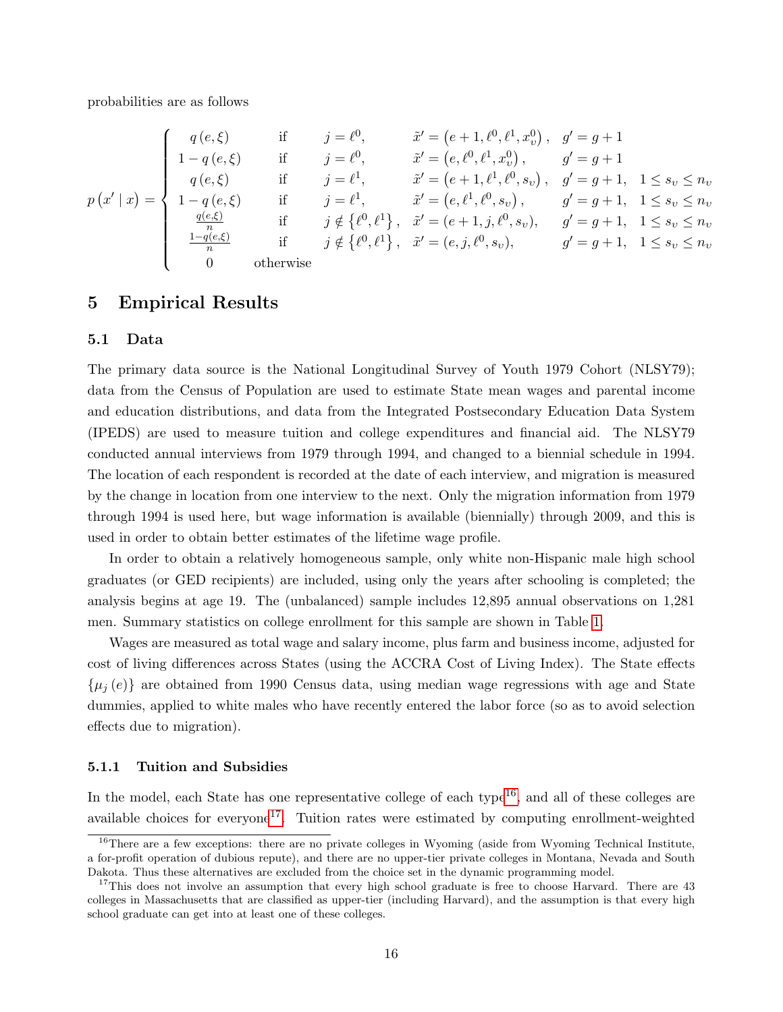probabilities are as follows

$$
p(x' | x) = \begin{cases} q(e, \xi) & \text{if } j = \ell^0, & \tilde{x}' = (e + 1, \ell^0, \ell^1, x_v^0), & g' = g + 1 \\ 1 - q(e, \xi) & \text{if } j = \ell^0, & \tilde{x}' = (e, \ell^0, \ell^1, x_v^0), & g' = g + 1 \\ q(e, \xi) & \text{if } j = \ell^1, & \tilde{x}' = (e + 1, \ell^1, \ell^0, s_v), & g' = g + 1, & 1 \le s_v \le n_v \\ 1 - q(e, \xi) & \text{if } j = \ell^1, & \tilde{x}' = (e, \ell^1, \ell^0, s_v), & g' = g + 1, & 1 \le s_v \le n_v \\ \frac{q(e, \xi)}{n} & \text{if } j \notin \{\ell^0, \ell^1\}, & \tilde{x}' = (e + 1, j, \ell^0, s_v), & g' = g + 1, & 1 \le s_v \le n_v \\ \frac{1 - q(e, \xi)}{n} & \text{if } j \notin \{\ell^0, \ell^1\}, & \tilde{x}' = (e, j, \ell^0, s_v), & g' = g + 1, & 1 \le s_v \le n_v \\ 0 & \text{otherwise} \end{cases}
$$

## 5 Empirical Results

#### 5.1 Data

The primary data source is the National Longitudinal Survey of Youth 1979 Cohort (NLSY79); data from the Census of Population are used to estimate State mean wages and parental income and education distributions, and data from the Integrated Postsecondary Education Data System (IPEDS) are used to measure tuition and college expenditures and financial aid. The NLSY79 conducted annual interviews from 1979 through 1994, and changed to a biennial schedule in 1994. The location of each respondent is recorded at the date of each interview, and migration is measured by the change in location from one interview to the next. Only the migration information from 1979 through 1994 is used here, but wage information is available (biennially) through 2009, and this is used in order to obtain better estimates of the lifetime wage profile.

In order to obtain a relatively homogeneous sample, only white non-Hispanic male high school graduates (or GED recipients) are included, using only the years after schooling is completed; the analysis begins at age 19. The (unbalanced) sample includes 12,895 annual observations on 1,281 men. Summary statistics on college enrollment for this sample are shown in Table [1.](#page-16-0)

Wages are measured as total wage and salary income, plus farm and business income, adjusted for cost of living differences across States (using the ACCRA Cost of Living Index). The State effects  $\{\mu_i(e)\}\$  are obtained from 1990 Census data, using median wage regressions with age and State dummies, applied to white males who have recently entered the labor force (so as to avoid selection effects due to migration).

#### 5.1.1 Tuition and Subsidies

In the model, each State has one representative college of each type<sup>[16](#page-15-0)</sup>, and all of these colleges are available choices for everyone<sup>[17](#page-15-1)</sup>. Tuition rates were estimated by computing enrollment-weighted

<span id="page-15-0"></span><sup>&</sup>lt;sup>16</sup>There are a few exceptions: there are no private colleges in Wyoming (aside from Wyoming Technical Institute, a for-profit operation of dubious repute), and there are no upper-tier private colleges in Montana, Nevada and South Dakota. Thus these alternatives are excluded from the choice set in the dynamic programming model.

<span id="page-15-1"></span><sup>&</sup>lt;sup>17</sup>This does not involve an assumption that every high school graduate is free to choose Harvard. There are 43 colleges in Massachusetts that are classified as upper-tier (including Harvard), and the assumption is that every high school graduate can get into at least one of these colleges.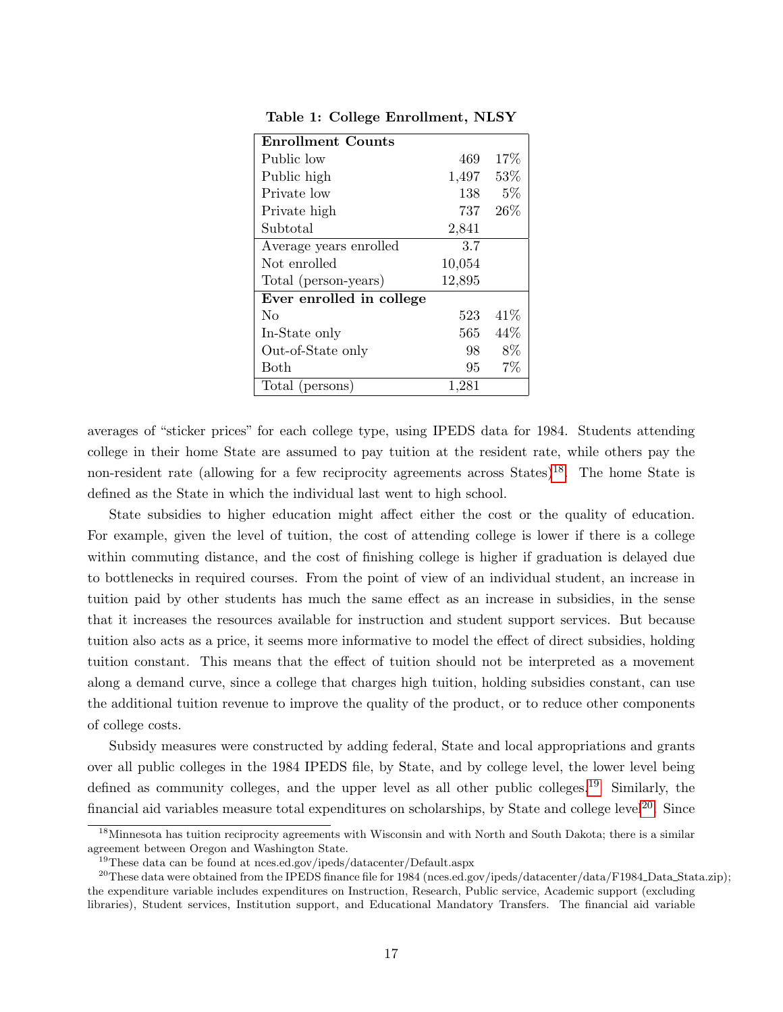| <b>Enrollment Counts</b> |         |       |
|--------------------------|---------|-------|
| Public low               | 469     | 17%   |
| Public high              | 1,497   | 53\%  |
| Private low              | 138     | $5\%$ |
| Private high             | 737     | 26%   |
| Subtotal                 | 2,841   |       |
| Average years enrolled   | 3.7     |       |
| Not enrolled             | 10,054  |       |
| Total (person-years)     | 12,895  |       |
| Ever enrolled in college |         |       |
| No                       | 523     | 41\%  |
| In-State only            | $565\,$ | 44%   |
| Out-of-State only        | 98      | 8%    |
| Both                     | 95      | $7\%$ |
| Total (persons)          | 1,281   |       |

<span id="page-16-0"></span>Table 1: College Enrollment, NLSY

averages of "sticker prices" for each college type, using IPEDS data for 1984. Students attending college in their home State are assumed to pay tuition at the resident rate, while others pay the non-resident rate (allowing for a few reciprocity agreements across States)<sup>[18](#page-16-1)</sup>. The home State is defined as the State in which the individual last went to high school.

State subsidies to higher education might affect either the cost or the quality of education. For example, given the level of tuition, the cost of attending college is lower if there is a college within commuting distance, and the cost of finishing college is higher if graduation is delayed due to bottlenecks in required courses. From the point of view of an individual student, an increase in tuition paid by other students has much the same effect as an increase in subsidies, in the sense that it increases the resources available for instruction and student support services. But because tuition also acts as a price, it seems more informative to model the effect of direct subsidies, holding tuition constant. This means that the effect of tuition should not be interpreted as a movement along a demand curve, since a college that charges high tuition, holding subsidies constant, can use the additional tuition revenue to improve the quality of the product, or to reduce other components of college costs.

Subsidy measures were constructed by adding federal, State and local appropriations and grants over all public colleges in the 1984 IPEDS file, by State, and by college level, the lower level being defined as community colleges, and the upper level as all other public colleges.<sup>[19](#page-16-2)</sup> Similarly, the financial aid variables measure total expenditures on scholarships, by State and college level<sup>[20](#page-16-3)</sup>. Since

<span id="page-16-1"></span><sup>&</sup>lt;sup>18</sup>Minnesota has tuition reciprocity agreements with Wisconsin and with North and South Dakota; there is a similar agreement between Oregon and Washington State.

<span id="page-16-3"></span><span id="page-16-2"></span><sup>&</sup>lt;sup>19</sup>These data can be found at nces.ed.gov/ipeds/datacenter/Default.aspx

 $^{20}$ These data were obtained from the IPEDS finance file for 1984 (nces.ed.gov/ipeds/datacenter/data/F1984\_Data\_Stata.zip); the expenditure variable includes expenditures on Instruction, Research, Public service, Academic support (excluding libraries), Student services, Institution support, and Educational Mandatory Transfers. The financial aid variable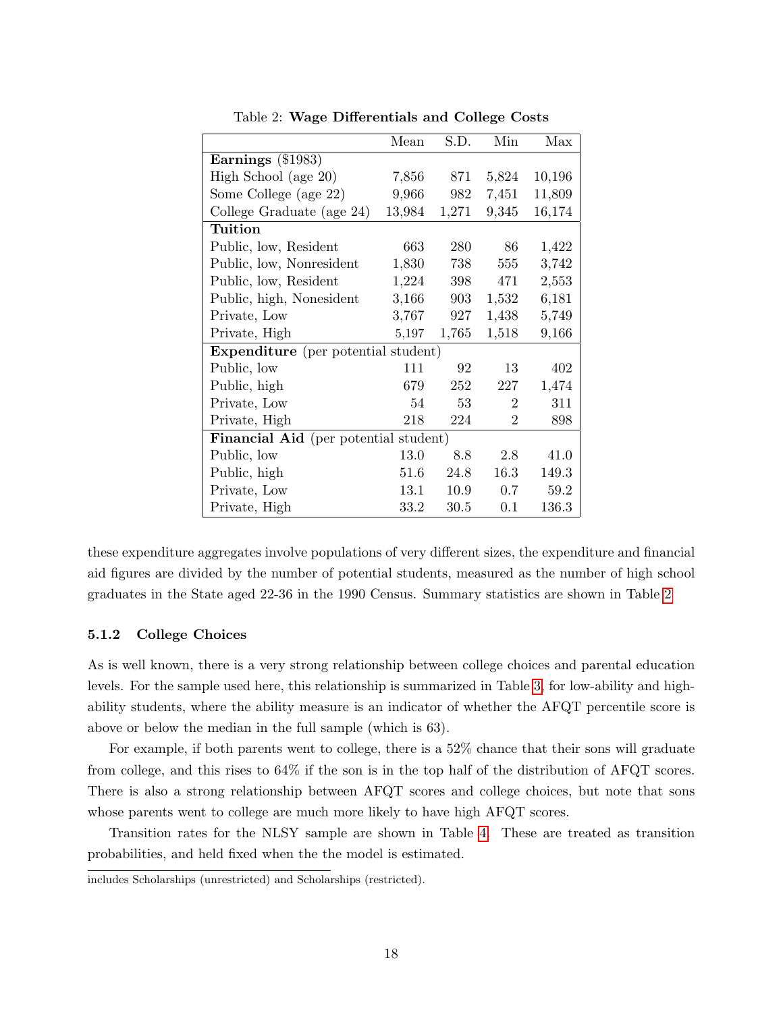|                                              | Mean   | S.D.  | Min                         | Max    |  |  |
|----------------------------------------------|--------|-------|-----------------------------|--------|--|--|
| Earnings (\$1983)                            |        |       |                             |        |  |  |
| High School (age 20)                         | 7,856  | 871   | 5,824                       | 10,196 |  |  |
| Some College (age 22)                        | 9,966  | 982   | 7,451                       | 11,809 |  |  |
| College Graduate (age 24)                    | 13,984 | 1,271 | 9,345                       | 16,174 |  |  |
| Tuition                                      |        |       |                             |        |  |  |
| Public, low, Resident                        | 663    | 280   | 86                          | 1,422  |  |  |
| Public, low, Nonresident                     | 1,830  | 738   | 555                         | 3,742  |  |  |
| Public, low, Resident                        | 1,224  | 398   | 471                         | 2,553  |  |  |
| Public, high, Nonesident                     | 3,166  | 903   | 1,532                       | 6,181  |  |  |
| Private, Low                                 | 3,767  | 927   | 1,438                       | 5,749  |  |  |
| Private, High                                | 5,197  | 1,765 | 1,518                       | 9,166  |  |  |
| <b>Expenditure</b> (per potential student)   |        |       |                             |        |  |  |
| Public, low                                  | 111    | 92    | 13                          | 402    |  |  |
| Public, high                                 | 679    | 252   | 227                         | 1,474  |  |  |
| Private, Low                                 | 54     | 53    | $\mathcal{D}_{\mathcal{L}}$ | 311    |  |  |
| Private, High                                | 218    | 224   | $\overline{2}$              | 898    |  |  |
| <b>Financial Aid</b> (per potential student) |        |       |                             |        |  |  |
| Public, low                                  | 13.0   | 8.8   | 2.8                         | 41.0   |  |  |
| Public, high                                 | 51.6   | 24.8  | 16.3                        | 149.3  |  |  |
| Private, Low                                 | 13.1   | 10.9  | 0.7                         | 59.2   |  |  |
| Private, High                                | 33.2   | 30.5  | 0.1                         | 136.3  |  |  |

<span id="page-17-0"></span>Table 2: Wage Differentials and College Costs

these expenditure aggregates involve populations of very different sizes, the expenditure and financial aid figures are divided by the number of potential students, measured as the number of high school graduates in the State aged 22-36 in the 1990 Census. Summary statistics are shown in Table [2](#page-17-0)

#### 5.1.2 College Choices

As is well known, there is a very strong relationship between college choices and parental education levels. For the sample used here, this relationship is summarized in Table [3,](#page-18-0) for low-ability and highability students, where the ability measure is an indicator of whether the AFQT percentile score is above or below the median in the full sample (which is 63).

For example, if both parents went to college, there is a 52% chance that their sons will graduate from college, and this rises to 64% if the son is in the top half of the distribution of AFQT scores. There is also a strong relationship between AFQT scores and college choices, but note that sons whose parents went to college are much more likely to have high AFQT scores.

Transition rates for the NLSY sample are shown in Table [4.](#page-18-1) These are treated as transition probabilities, and held fixed when the the model is estimated.

includes Scholarships (unrestricted) and Scholarships (restricted).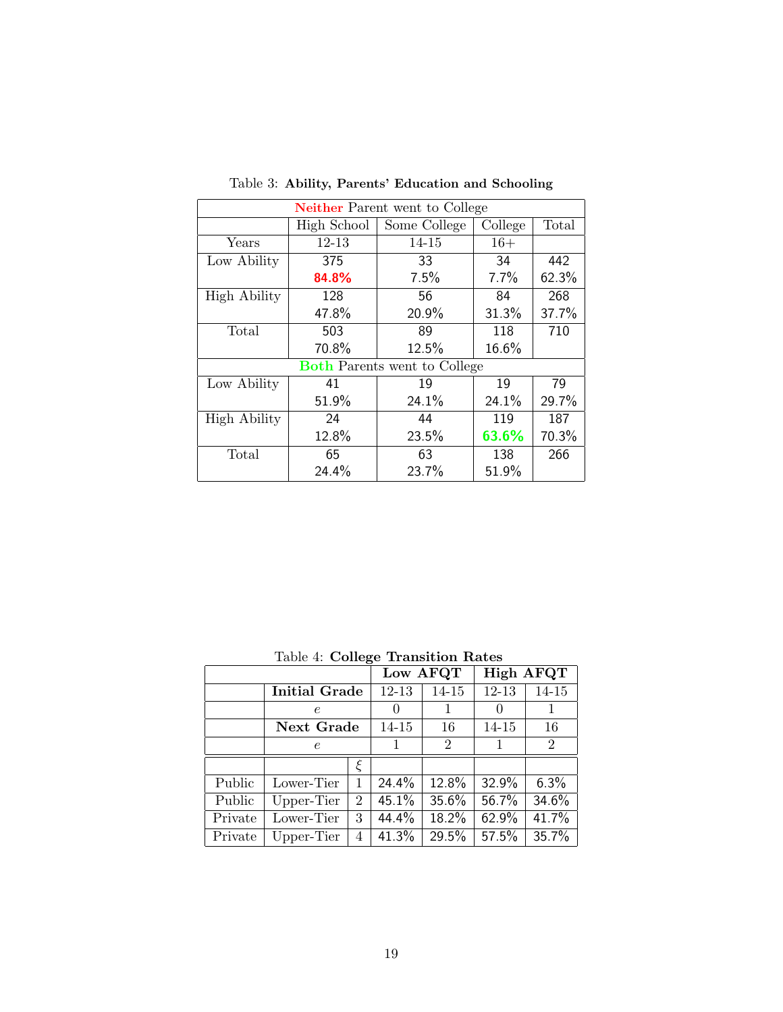| <b>Neither Parent went to College</b> |             |                                     |         |       |  |  |  |  |
|---------------------------------------|-------------|-------------------------------------|---------|-------|--|--|--|--|
|                                       | High School | Some College                        | College | Total |  |  |  |  |
| Years                                 | $12 - 13$   | 14-15                               | $16+$   |       |  |  |  |  |
| Low Ability                           | 375         | 33                                  | 34      | 442   |  |  |  |  |
|                                       | 84.8%       | 7.5%                                | 7.7%    | 62.3% |  |  |  |  |
| <b>High Ability</b>                   | 128         | 56                                  | 84      | 268   |  |  |  |  |
|                                       | 47.8%       | 20.9%                               | 31.3%   | 37.7% |  |  |  |  |
| Total                                 | 503         | 89                                  | 118     | 710   |  |  |  |  |
|                                       | 70.8%       | 12.5%                               | 16.6%   |       |  |  |  |  |
|                                       |             | <b>Both Parents went to College</b> |         |       |  |  |  |  |
| Low Ability                           | 41          | 19                                  | 19      | 79    |  |  |  |  |
|                                       | 51.9%       | 24.1%                               | 24.1%   | 29.7% |  |  |  |  |
| <b>High Ability</b>                   | 24          | 44                                  | 119     | 187   |  |  |  |  |
|                                       | 12.8%       | 23.5%                               | 63.6%   | 70.3% |  |  |  |  |
| Total                                 | 65          | 63                                  | 138     | 266   |  |  |  |  |
|                                       | 24.4%       | 23.7%                               | 51.9%   |       |  |  |  |  |

<span id="page-18-0"></span>Table 3: Ability, Parents' Education and Schooling

<span id="page-18-1"></span>Table 4: College Transition Rates

|         |                      |                | Low AFQT  |                | High AFQT |           |  |
|---------|----------------------|----------------|-----------|----------------|-----------|-----------|--|
|         | <b>Initial Grade</b> |                | $12 - 13$ | 14-15          | $12 - 13$ | $14 - 15$ |  |
|         | e                    |                | $\cup$    |                | $\cup$    |           |  |
|         | Next Grade           |                | $14 - 15$ | 16             | 14-15     | 16        |  |
|         | $\epsilon$           |                |           | $\overline{2}$ |           | 2         |  |
|         |                      | ξ              |           |                |           |           |  |
| Public  | Lower-Tier           | 1              | 24.4%     | 12.8%          | 32.9%     | 6.3%      |  |
| Public  | Upper-Tier           | $\overline{2}$ | 45.1%     | 35.6%          | 56.7%     | 34.6%     |  |
| Private | Lower-Tier           | 3              | 44.4%     | 18.2%          | 62.9%     | 41.7%     |  |
| Private | Upper-Tier           | 4              | 41.3%     | 29.5%          | 57.5%     | 35.7%     |  |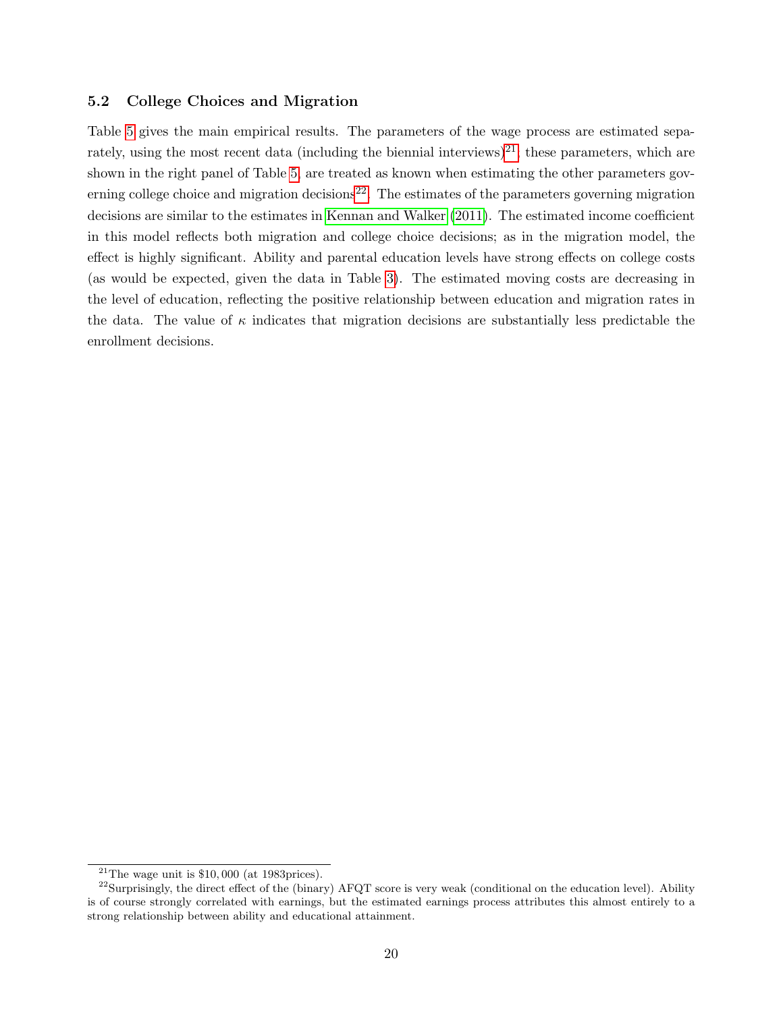#### 5.2 College Choices and Migration

Table [5](#page-20-0) gives the main empirical results. The parameters of the wage process are estimated sepa-rately, using the most recent data (including the biennial interviews)<sup>[21](#page-19-0)</sup>; these parameters, which are shown in the right panel of Table [5,](#page-20-0) are treated as known when estimating the other parameters gov-erning college choice and migration decisions<sup>[22](#page-19-1)</sup>. The estimates of the parameters governing migration decisions are similar to the estimates in [Kennan and Walker](#page-27-0) [\(2011\)](#page-27-0). The estimated income coefficient in this model reflects both migration and college choice decisions; as in the migration model, the effect is highly significant. Ability and parental education levels have strong effects on college costs (as would be expected, given the data in Table [3\)](#page-18-0). The estimated moving costs are decreasing in the level of education, reflecting the positive relationship between education and migration rates in the data. The value of  $\kappa$  indicates that migration decisions are substantially less predictable the enrollment decisions.

<span id="page-19-1"></span><span id="page-19-0"></span> $\frac{21}{\text{The wage unit}}$  is \$10,000 (at 1983prices).

 $^{22}$ Surprisingly, the direct effect of the (binary) AFQT score is very weak (conditional on the education level). Ability is of course strongly correlated with earnings, but the estimated earnings process attributes this almost entirely to a strong relationship between ability and educational attainment.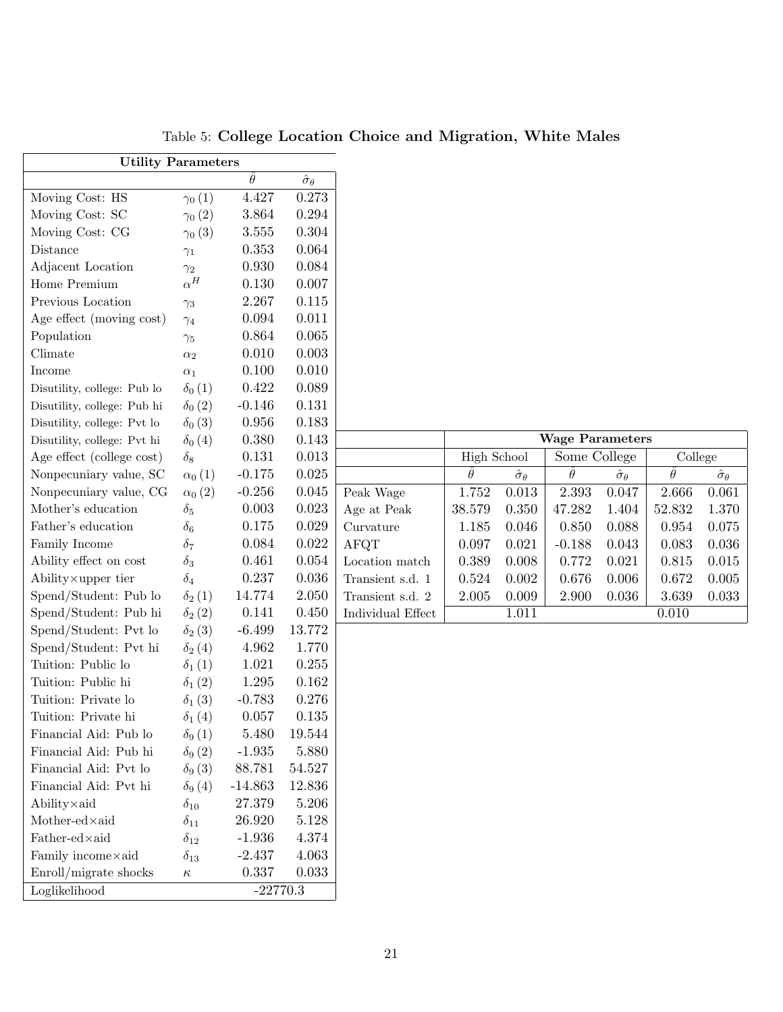| <b>Utility Parameters</b>         |                |                |                         |  |  |  |  |
|-----------------------------------|----------------|----------------|-------------------------|--|--|--|--|
|                                   |                | $\hat{\theta}$ | $\hat{\sigma}_{\theta}$ |  |  |  |  |
| Moving Cost: HS                   | $\gamma_0(1)$  | 4.427          | 0.273                   |  |  |  |  |
| Moving Cost: SC                   | $\gamma_0(2)$  | 3.864          | 0.294                   |  |  |  |  |
| Moving Cost: CG                   | $\gamma_0(3)$  | 3.555          | 0.304                   |  |  |  |  |
| Distance                          | $\gamma_1$     | 0.353          | 0.064                   |  |  |  |  |
| Adjacent Location                 | $\gamma_2$     | 0.930          | 0.084                   |  |  |  |  |
| Home Premium                      | $\alpha^H$     | 0.130          | 0.007                   |  |  |  |  |
| Previous Location                 | $\gamma_3$     | 2.267          | 0.115                   |  |  |  |  |
| Age effect (moving cost)          | $\gamma_4$     | 0.094          | 0.011                   |  |  |  |  |
| Population                        | $\gamma_5$     | 0.864          | 0.065                   |  |  |  |  |
| Climate                           | $\alpha_2$     | 0.010          | 0.003                   |  |  |  |  |
| Income                            | $\alpha_1$     | 0.100          | 0.010                   |  |  |  |  |
| Disutility, college: Pub lo       | $\delta_0(1)$  | 0.422          | 0.089                   |  |  |  |  |
| Disutility, college: Pub hi       | $\delta_0(2)$  | $-0.146$       | 0.131                   |  |  |  |  |
| Disutility, college: Pvt lo       | $\delta_0(3)$  | 0.956          | 0.183                   |  |  |  |  |
| Disutility, college: Pvt hi       | $\delta_0(4)$  | 0.380          | 0.143                   |  |  |  |  |
| Age effect (college cost)         | $\delta_8$     | 0.131          | 0.013                   |  |  |  |  |
| Nonpecuniary value, SC            | $\alpha_0(1)$  | $-0.175$       | 0.025                   |  |  |  |  |
| Nonpecuniary value, CG            | $\alpha_0(2)$  | $-0.256$       | 0.045                   |  |  |  |  |
| Mother's education                | $\delta_5$     | 0.003          | 0.023                   |  |  |  |  |
| Father's education                | $\delta_6$     | 0.175          | 0.029                   |  |  |  |  |
| Family Income                     | $\delta_7$     | 0.084          | 0.022                   |  |  |  |  |
| Ability effect on cost            | $\delta_3$     | 0.461          | 0.054                   |  |  |  |  |
| Ability × upper tier              | $\delta_4$     | 0.237          | 0.036                   |  |  |  |  |
| Spend/Student: Pub lo             | $\delta_2(1)$  | 14.774         | 2.050                   |  |  |  |  |
| Spend/Student: Pub hi             | $\delta_2(2)$  | 0.141          | 0.450                   |  |  |  |  |
| Spend/Student: Pvt lo             | $\delta_2(3)$  | $-6.499$       | 13.772                  |  |  |  |  |
| Spend/Student: Pvt hi             | $\delta_2(4)$  | 4.962          | 1.770                   |  |  |  |  |
| Tuition: Public lo                | $\delta_1(1)$  | 1.021          | 0.255                   |  |  |  |  |
| Tuition: Public hi                | $\delta_1(2)$  | 1.295          | 0.162                   |  |  |  |  |
| Tuition: Private lo               | $\delta_1$ (3) | $-0.783$       | 0.276                   |  |  |  |  |
| Tuition: Private hi               | $\delta_1(4)$  | 0.057          | 0.135                   |  |  |  |  |
| Financial Aid: Pub lo             | $\delta_9(1)$  | 5.480          | 19.544                  |  |  |  |  |
| Financial Aid: Pub hi             | $\delta_9(2)$  | $-1.935$       | 5.880                   |  |  |  |  |
| Financial Aid: Pvt lo             | $\delta_9(3)$  | 88.781         | 54.527                  |  |  |  |  |
| Financial Aid: Pvt hi             | $\delta_9(4)$  | $-14.863$      | 12.836                  |  |  |  |  |
| $\text{Ablity} \times \text{aid}$ | $\delta_{10}$  | 27.379         | 5.206                   |  |  |  |  |
| Mother-ed×aid                     | $\delta_{11}$  | 26.920         | 5.128                   |  |  |  |  |
| Father-ed×aid                     | $\delta_{12}$  | $-1.936$       | 4.374                   |  |  |  |  |
| Family income×aid                 | $\delta_{13}$  | $-2.437$       | 4.063                   |  |  |  |  |
| Enroll/migrate shocks             | $\kappa$       | 0.337          | 0.033                   |  |  |  |  |
| Loglikelihood                     |                | $-22770.3$     |                         |  |  |  |  |

<span id="page-20-0"></span>Table 5: College Location Choice and Migration, White Males

|                   | <b>Wage Parameters</b> |                         |              |                         |          |                         |  |  |
|-------------------|------------------------|-------------------------|--------------|-------------------------|----------|-------------------------|--|--|
|                   | High School            |                         | Some College |                         | College  |                         |  |  |
|                   | $\theta$               | $\hat{\sigma}_{\theta}$ | $\theta$     | $\hat{\sigma}_{\theta}$ | $\theta$ | $\hat{\sigma}_{\theta}$ |  |  |
| Peak Wage         | 1.752                  | 0.013                   | 2.393        | 0.047                   | 2.666    | 0.061                   |  |  |
| Age at Peak       | 38.579                 | 0.350                   | 47.282       | 1.404                   | 52.832   | 1.370                   |  |  |
| Curvature         | 1.185                  | 0.046                   | 0.850        | 0.088                   | 0.954    | 0.075                   |  |  |
| AFQT              | 0.097                  | 0.021                   | $-0.188$     | 0.043                   | 0.083    | 0.036                   |  |  |
| Location match    | 0.389                  | 0.008                   | 0.772        | 0.021                   | 0.815    | 0.015                   |  |  |
| Transient s.d. 1  | 0.524                  | 0.002                   | 0.676        | 0.006                   | 0.672    | 0.005                   |  |  |
| Transient s.d. 2  | 2.005                  | 0.009                   | 2.900        | 0.036                   | 3.639    | 0.033                   |  |  |
| Individual Effect |                        | 1.011                   |              |                         | 0.010    |                         |  |  |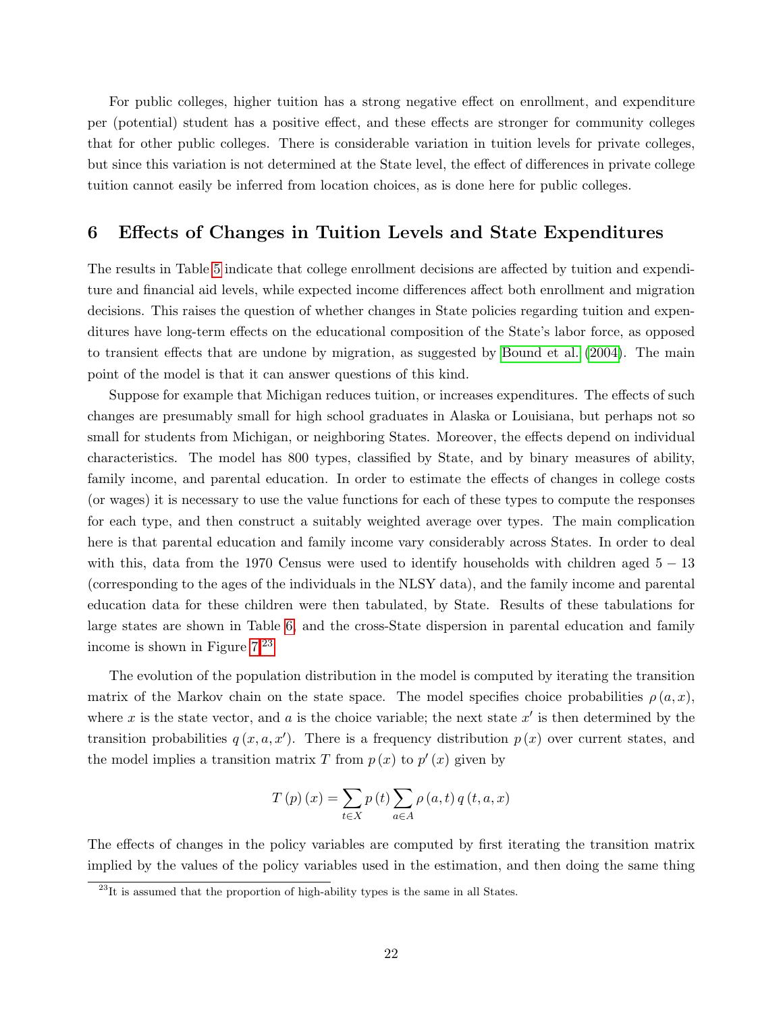For public colleges, higher tuition has a strong negative effect on enrollment, and expenditure per (potential) student has a positive effect, and these effects are stronger for community colleges that for other public colleges. There is considerable variation in tuition levels for private colleges, but since this variation is not determined at the State level, the effect of differences in private college tuition cannot easily be inferred from location choices, as is done here for public colleges.

## 6 Effects of Changes in Tuition Levels and State Expenditures

The results in Table [5](#page-20-0) indicate that college enrollment decisions are affected by tuition and expenditure and financial aid levels, while expected income differences affect both enrollment and migration decisions. This raises the question of whether changes in State policies regarding tuition and expenditures have long-term effects on the educational composition of the State's labor force, as opposed to transient effects that are undone by migration, as suggested by [Bound et al.](#page-26-7) [\(2004\)](#page-26-7). The main point of the model is that it can answer questions of this kind.

Suppose for example that Michigan reduces tuition, or increases expenditures. The effects of such changes are presumably small for high school graduates in Alaska or Louisiana, but perhaps not so small for students from Michigan, or neighboring States. Moreover, the effects depend on individual characteristics. The model has 800 types, classified by State, and by binary measures of ability, family income, and parental education. In order to estimate the effects of changes in college costs (or wages) it is necessary to use the value functions for each of these types to compute the responses for each type, and then construct a suitably weighted average over types. The main complication here is that parental education and family income vary considerably across States. In order to deal with this, data from the 1970 Census were used to identify households with children aged  $5 - 13$ (corresponding to the ages of the individuals in the NLSY data), and the family income and parental education data for these children were then tabulated, by State. Results of these tabulations for large states are shown in Table [6,](#page-22-0) and the cross-State dispersion in parental education and family income is shown in Figure [7.](#page-22-1)[23](#page-21-0)

The evolution of the population distribution in the model is computed by iterating the transition matrix of the Markov chain on the state space. The model specifies choice probabilities  $\rho(a, x)$ , where x is the state vector, and a is the choice variable; the next state  $x'$  is then determined by the transition probabilities  $q(x, a, x')$ . There is a frequency distribution  $p(x)$  over current states, and the model implies a transition matrix T from  $p(x)$  to  $p'(x)$  given by

$$
T(p)(x) = \sum_{t \in X} p(t) \sum_{a \in A} \rho(a, t) q(t, a, x)
$$

The effects of changes in the policy variables are computed by first iterating the transition matrix implied by the values of the policy variables used in the estimation, and then doing the same thing

<span id="page-21-0"></span> $^{23}$ It is assumed that the proportion of high-ability types is the same in all States.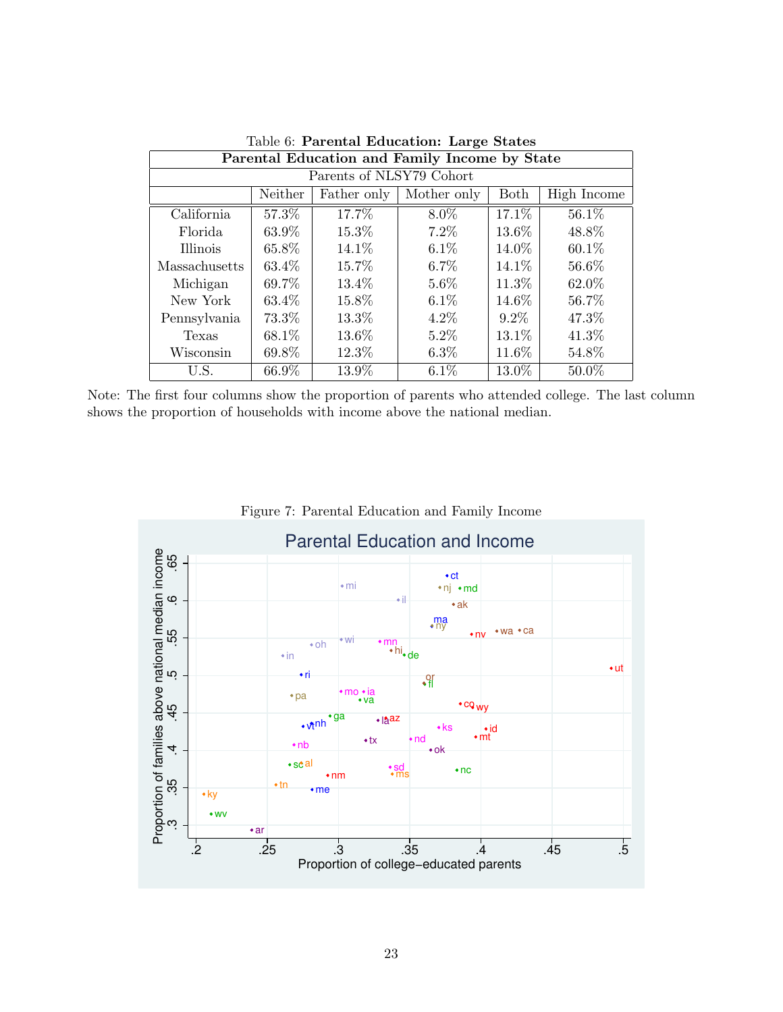| rable 0. I di chial Equeduloni. Edi ge Diales                |       |        |         |          |          |  |  |  |  |
|--------------------------------------------------------------|-------|--------|---------|----------|----------|--|--|--|--|
| Parental Education and Family Income by State                |       |        |         |          |          |  |  |  |  |
| Parents of NLSY79 Cohort                                     |       |        |         |          |          |  |  |  |  |
| Neither<br>Mother only<br>Both<br>High Income<br>Father only |       |        |         |          |          |  |  |  |  |
| California                                                   | 57.3% | 17.7%  | 8.0%    | $17.1\%$ | $56.1\%$ |  |  |  |  |
| Florida                                                      | 63.9% | 15.3%  | $7.2\%$ | $13.6\%$ | 48.8%    |  |  |  |  |
| Illinois                                                     | 65.8% | 14.1\% | $6.1\%$ | 14.0%    | 60.1\%   |  |  |  |  |
| Massachusetts                                                | 63.4% | 15.7%  | $6.7\%$ | 14.1\%   | 56.6%    |  |  |  |  |
| Michigan                                                     | 69.7% | 13.4%  | $5.6\%$ | 11.3%    | 62.0%    |  |  |  |  |
| New York                                                     | 63.4% | 15.8%  | $6.1\%$ | 14.6%    | 56.7%    |  |  |  |  |
| Pennsylvania                                                 | 73.3% | 13.3%  | $4.2\%$ | $9.2\%$  | 47.3%    |  |  |  |  |
| Texas                                                        | 68.1% | 13.6%  | $5.2\%$ | 13.1\%   | 41.3%    |  |  |  |  |
| Wisconsin                                                    | 69.8% | 12.3%  | $6.3\%$ | 11.6%    | 54.8%    |  |  |  |  |
| U.S.                                                         | 66.9% | 13.9%  | $6.1\%$ | 13.0%    | 50.0%    |  |  |  |  |

<span id="page-22-0"></span>Table 6: Parental Education: Large States

Note: The first four columns show the proportion of parents who attended college. The last column shows the proportion of households with income above the national median.



<span id="page-22-1"></span>Figure 7: Parental Education and Family Income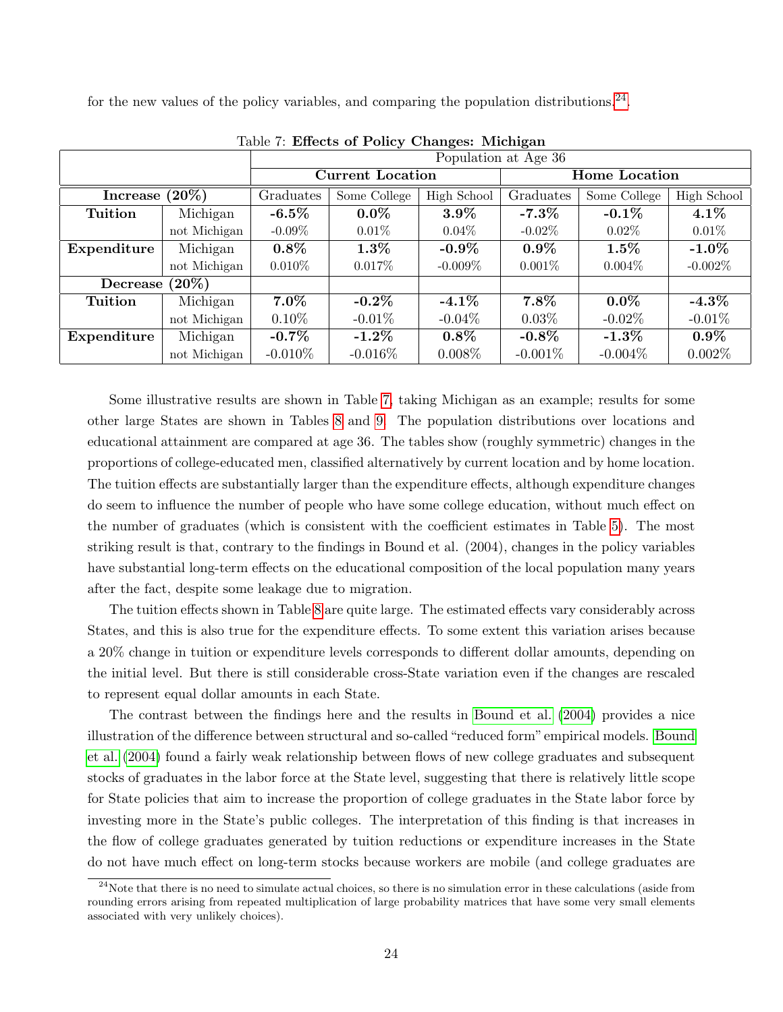for the new values of the policy variables, and comparing the population distributions.<sup>[24](#page-23-0)</sup>.

|                   |              |            |                         |             | Population at Age 36 |              |             |  |
|-------------------|--------------|------------|-------------------------|-------------|----------------------|--------------|-------------|--|
|                   |              |            | <b>Current Location</b> |             | <b>Home Location</b> |              |             |  |
| <b>Increase</b>   | $(20\%)$     | Graduates  | Some College            | High School | Graduates            | Some College | High School |  |
| Tuition           | Michigan     | $-6.5\%$   | $0.0\%$                 | $3.9\%$     | -7.3 $\%$            | $-0.1\%$     | $4.1\%$     |  |
|                   | not Michigan | $-0.09\%$  | $0.01\%$                | $0.04\%$    | $-0.02\%$            | $0.02\%$     | $0.01\%$    |  |
| Expenditure       | Michigan     | $0.8\%$    | $1.3\%$                 | $-0.9\%$    | $0.9\%$              | $1.5\%$      | $-1.0\%$    |  |
|                   | not Michigan | $0.010\%$  | $0.017\%$               | $-0.009\%$  | $0.001\%$            | $0.004\%$    | $-0.002\%$  |  |
| Decrease $(20\%)$ |              |            |                         |             |                      |              |             |  |
| Tuition           | Michigan     | $7.0\%$    | -0.2 $\%$               | $-4.1\%$    | $7.8\%$              | $0.0\%$      | $-4.3\%$    |  |
|                   | not Michigan | $0.10\%$   | $-0.01\%$               | $-0.04\%$   | $0.03\%$             | $-0.02\%$    | $-0.01\%$   |  |
| Expenditure       | Michigan     | $-0.7\%$   | -1.2 $\%$               | $0.8\%$     | $-0.8\%$             | $-1.3\%$     | $0.9\%$     |  |
|                   | not Michigan | $-0.010\%$ | $-0.016\%$              | $0.008\%$   | $-0.001\%$           | $-0.004\%$   | $0.002\%$   |  |

<span id="page-23-1"></span>Table 7: Effects of Policy Changes: Michigan

Some illustrative results are shown in Table [7,](#page-23-1) taking Michigan as an example; results for some other large States are shown in Tables [8](#page-24-0) and [9.](#page-24-1) The population distributions over locations and educational attainment are compared at age 36. The tables show (roughly symmetric) changes in the proportions of college-educated men, classified alternatively by current location and by home location. The tuition effects are substantially larger than the expenditure effects, although expenditure changes do seem to influence the number of people who have some college education, without much effect on the number of graduates (which is consistent with the coefficient estimates in Table [5\)](#page-20-0). The most striking result is that, contrary to the findings in Bound et al. (2004), changes in the policy variables have substantial long-term effects on the educational composition of the local population many years after the fact, despite some leakage due to migration.

The tuition effects shown in Table [8](#page-24-0) are quite large. The estimated effects vary considerably across States, and this is also true for the expenditure effects. To some extent this variation arises because a 20% change in tuition or expenditure levels corresponds to different dollar amounts, depending on the initial level. But there is still considerable cross-State variation even if the changes are rescaled to represent equal dollar amounts in each State.

The contrast between the findings here and the results in [Bound et al.](#page-26-7) [\(2004\)](#page-26-7) provides a nice illustration of the difference between structural and so-called "reduced form"empirical models. [Bound](#page-26-7) [et al.](#page-26-7) [\(2004\)](#page-26-7) found a fairly weak relationship between flows of new college graduates and subsequent stocks of graduates in the labor force at the State level, suggesting that there is relatively little scope for State policies that aim to increase the proportion of college graduates in the State labor force by investing more in the State's public colleges. The interpretation of this finding is that increases in the flow of college graduates generated by tuition reductions or expenditure increases in the State do not have much effect on long-term stocks because workers are mobile (and college graduates are

<span id="page-23-0"></span> $^{24}$ Note that there is no need to simulate actual choices, so there is no simulation error in these calculations (aside from rounding errors arising from repeated multiplication of large probability matrices that have some very small elements associated with very unlikely choices).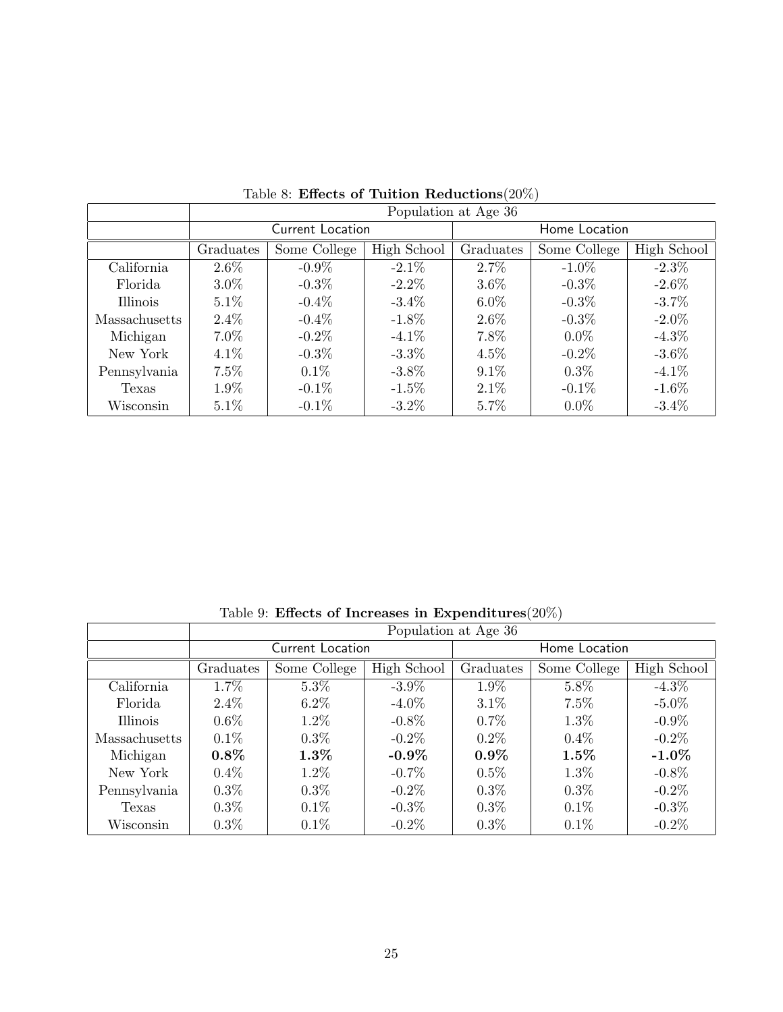|               | Population at Age 36 |                  |                          |         |               |             |  |  |
|---------------|----------------------|------------------|--------------------------|---------|---------------|-------------|--|--|
|               |                      | Current Location |                          |         | Home Location |             |  |  |
|               | Graduates            | Some College     | High School<br>Graduates |         | Some College  | High School |  |  |
| California    | $2.6\%$              | $-0.9\%$         | $-2.1\%$                 | $2.7\%$ | $-1.0\%$      | $-2.3\%$    |  |  |
| Florida       | $3.0\%$              | $-0.3\%$         | $-2.2\%$                 | $3.6\%$ | $-0.3\%$      | $-2.6\%$    |  |  |
| Illinois      | $5.1\%$              | $-0.4\%$         | $-3.4\%$                 | $6.0\%$ | $-0.3\%$      | $-3.7\%$    |  |  |
| Massachusetts | $2.4\%$              | $-0.4\%$         | $-1.8\%$                 | $2.6\%$ | $-0.3\%$      | $-2.0\%$    |  |  |
| Michigan      | $7.0\%$              | $-0.2\%$         | $-4.1\%$                 | 7.8%    | $0.0\%$       | $-4.3\%$    |  |  |
| New York      | $4.1\%$              | $-0.3\%$         | $-3.3\%$                 | $4.5\%$ | $-0.2\%$      | $-3.6\%$    |  |  |
| Pennsylvania  | $7.5\%$              | $0.1\%$          | $-3.8\%$                 | $9.1\%$ | $0.3\%$       | $-4.1\%$    |  |  |
| Texas         | 1.9%                 | $-0.1\%$         | $-1.5\%$                 | $2.1\%$ | $-0.1\%$      | $-1.6\%$    |  |  |
| Wisconsin     | $5.1\%$              | $-0.1\%$         | $-3.2\%$                 | 5.7%    | $0.0\%$       | $-3.4\%$    |  |  |

<span id="page-24-0"></span>Table 8: Effects of Tuition Reductions<br>(20%)

<span id="page-24-1"></span>Table 9: Effects of Increases in Expenditures( $20\%)$ 

|               | Population at Age 36 |                  |             |           |               |             |  |  |
|---------------|----------------------|------------------|-------------|-----------|---------------|-------------|--|--|
|               |                      | Current Location |             |           | Home Location |             |  |  |
|               | Graduates            | Some College     | High School | Graduates | Some College  | High School |  |  |
| California    | 1.7%                 | $5.3\%$          | $-3.9\%$    | 1.9%      | 5.8%          | $-4.3\%$    |  |  |
| Florida       | $2.4\%$              | $6.2\%$          | $-4.0\%$    | $3.1\%$   | 7.5%          | $-5.0\%$    |  |  |
| Illinois      | $0.6\%$              | $1.2\%$          | $-0.8\%$    | $0.7\%$   | $1.3\%$       | $-0.9\%$    |  |  |
| Massachusetts | $0.1\%$              | $0.3\%$          | $-0.2\%$    | $0.2\%$   | $0.4\%$       | $-0.2\%$    |  |  |
| Michigan      | $0.8\%$              | $1.3\%$          | $-0.9\%$    | $0.9\%$   | $1.5\%$       | $-1.0\%$    |  |  |
| New York      | $0.4\%$              | $1.2\%$          | $-0.7\%$    | $0.5\%$   | $1.3\%$       | $-0.8\%$    |  |  |
| Pennsylvania  | $0.3\%$              | $0.3\%$          | $-0.2\%$    | $0.3\%$   | $0.3\%$       | $-0.2\%$    |  |  |
| Texas         | $0.3\%$              | $0.1\%$          | $-0.3\%$    | $0.3\%$   | $0.1\%$       | $-0.3\%$    |  |  |
| Wisconsin     | $0.3\%$              | $0.1\%$          | $-0.2\%$    | $0.3\%$   | $0.1\%$       | $-0.2\%$    |  |  |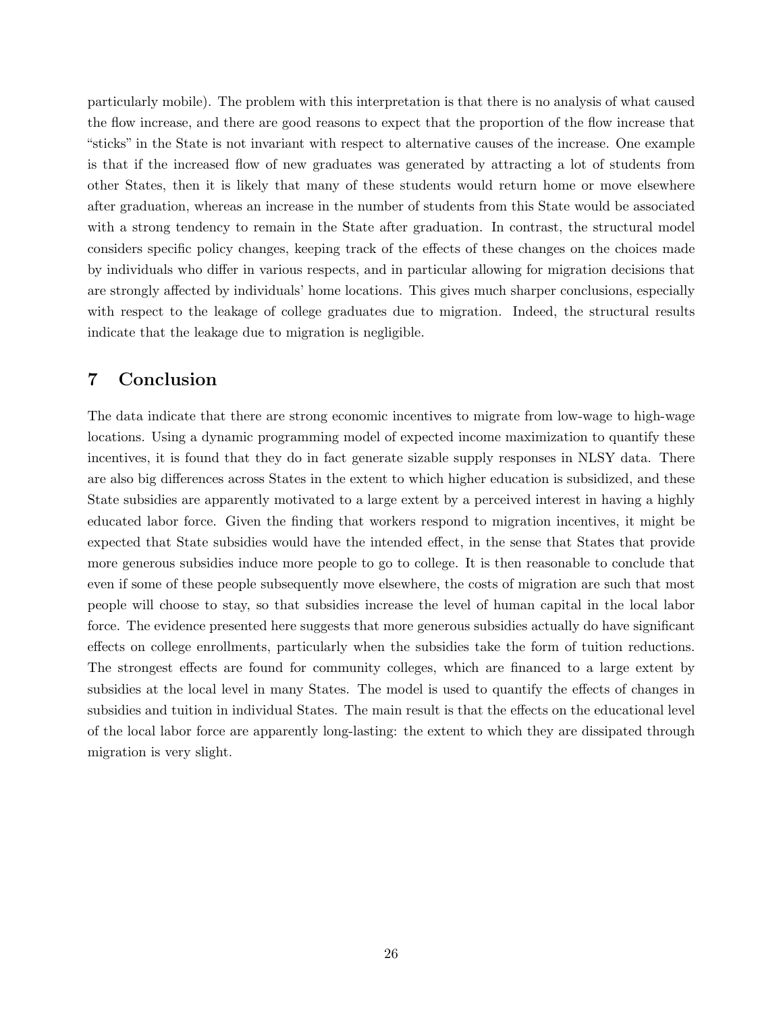particularly mobile). The problem with this interpretation is that there is no analysis of what caused the flow increase, and there are good reasons to expect that the proportion of the flow increase that "sticks" in the State is not invariant with respect to alternative causes of the increase. One example is that if the increased flow of new graduates was generated by attracting a lot of students from other States, then it is likely that many of these students would return home or move elsewhere after graduation, whereas an increase in the number of students from this State would be associated with a strong tendency to remain in the State after graduation. In contrast, the structural model considers specific policy changes, keeping track of the effects of these changes on the choices made by individuals who differ in various respects, and in particular allowing for migration decisions that are strongly affected by individuals' home locations. This gives much sharper conclusions, especially with respect to the leakage of college graduates due to migration. Indeed, the structural results indicate that the leakage due to migration is negligible.

# 7 Conclusion

The data indicate that there are strong economic incentives to migrate from low-wage to high-wage locations. Using a dynamic programming model of expected income maximization to quantify these incentives, it is found that they do in fact generate sizable supply responses in NLSY data. There are also big differences across States in the extent to which higher education is subsidized, and these State subsidies are apparently motivated to a large extent by a perceived interest in having a highly educated labor force. Given the finding that workers respond to migration incentives, it might be expected that State subsidies would have the intended effect, in the sense that States that provide more generous subsidies induce more people to go to college. It is then reasonable to conclude that even if some of these people subsequently move elsewhere, the costs of migration are such that most people will choose to stay, so that subsidies increase the level of human capital in the local labor force. The evidence presented here suggests that more generous subsidies actually do have significant effects on college enrollments, particularly when the subsidies take the form of tuition reductions. The strongest effects are found for community colleges, which are financed to a large extent by subsidies at the local level in many States. The model is used to quantify the effects of changes in subsidies and tuition in individual States. The main result is that the effects on the educational level of the local labor force are apparently long-lasting: the extent to which they are dissipated through migration is very slight.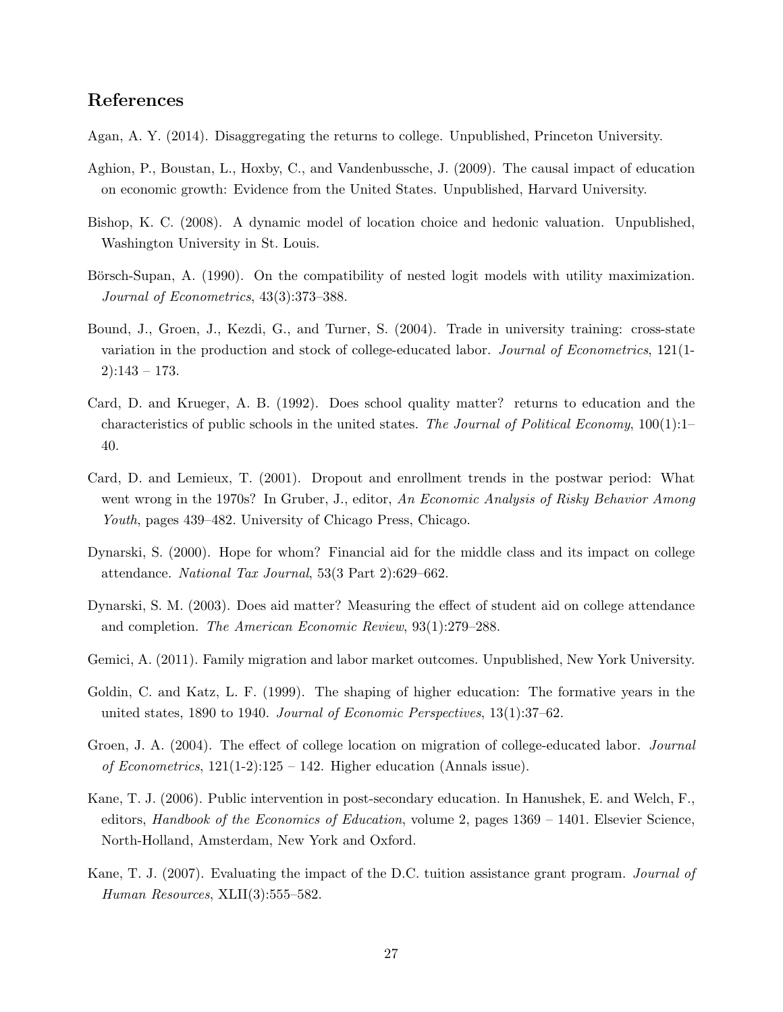# References

- <span id="page-26-13"></span>Agan, A. Y. (2014). Disaggregating the returns to college. Unpublished, Princeton University.
- <span id="page-26-11"></span>Aghion, P., Boustan, L., Hoxby, C., and Vandenbussche, J. (2009). The causal impact of education on economic growth: Evidence from the United States. Unpublished, Harvard University.
- <span id="page-26-1"></span>Bishop, K. C. (2008). A dynamic model of location choice and hedonic valuation. Unpublished, Washington University in St. Louis.
- <span id="page-26-12"></span>Börsch-Supan, A. (1990). On the compatibility of nested logit models with utility maximization. Journal of Econometrics, 43(3):373–388.
- <span id="page-26-7"></span>Bound, J., Groen, J., Kezdi, G., and Turner, S. (2004). Trade in university training: cross-state variation in the production and stock of college-educated labor. Journal of Econometrics, 121(1-2):143 – 173.
- <span id="page-26-9"></span>Card, D. and Krueger, A. B. (1992). Does school quality matter? returns to education and the characteristics of public schools in the united states. The Journal of Political Economy,  $100(1)$ :1– 40.
- <span id="page-26-8"></span>Card, D. and Lemieux, T. (2001). Dropout and enrollment trends in the postwar period: What went wrong in the 1970s? In Gruber, J., editor, An Economic Analysis of Risky Behavior Among Youth, pages 439–482. University of Chicago Press, Chicago.
- <span id="page-26-4"></span>Dynarski, S. (2000). Hope for whom? Financial aid for the middle class and its impact on college attendance. National Tax Journal, 53(3 Part 2):629–662.
- <span id="page-26-5"></span>Dynarski, S. M. (2003). Does aid matter? Measuring the effect of student aid on college attendance and completion. The American Economic Review, 93(1):279–288.
- <span id="page-26-0"></span>Gemici, A. (2011). Family migration and labor market outcomes. Unpublished, New York University.
- <span id="page-26-6"></span>Goldin, C. and Katz, L. F. (1999). The shaping of higher education: The formative years in the united states, 1890 to 1940. Journal of Economic Perspectives,  $13(1):37-62$ .
- <span id="page-26-10"></span>Groen, J. A. (2004). The effect of college location on migration of college-educated labor. Journal of Econometrics,  $121(1-2):125 - 142$ . Higher education (Annals issue).
- <span id="page-26-2"></span>Kane, T. J. (2006). Public intervention in post-secondary education. In Hanushek, E. and Welch, F., editors, Handbook of the Economics of Education, volume 2, pages 1369 – 1401. Elsevier Science, North-Holland, Amsterdam, New York and Oxford.
- <span id="page-26-3"></span>Kane, T. J. (2007). Evaluating the impact of the D.C. tuition assistance grant program. Journal of Human Resources, XLII(3):555-582.